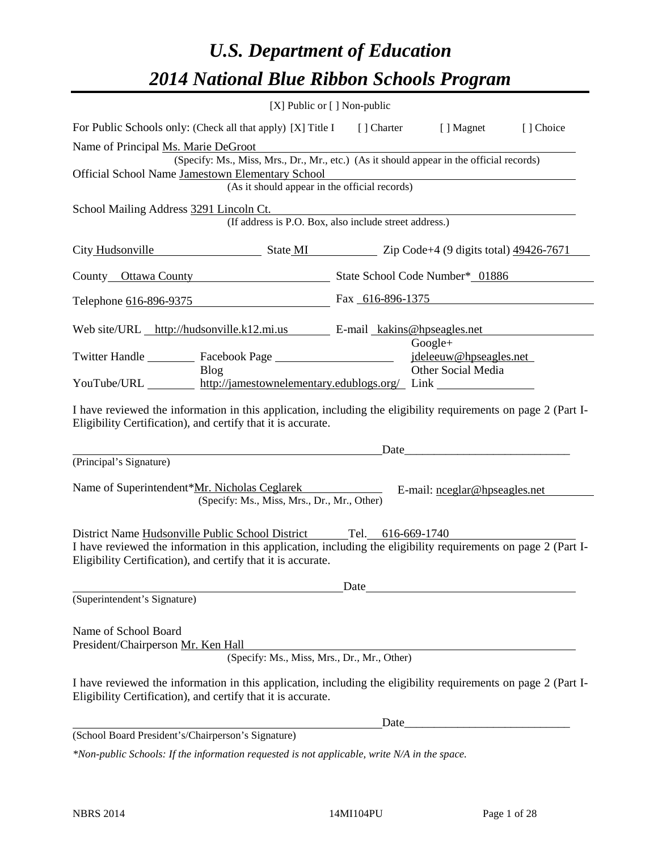# *U.S. Department of Education 2014 National Blue Ribbon Schools Program*

|                                                                                                                                                                                                                                                      | $[X]$ Public or $[ \ ]$ Non-public                                                                                                        |      |                                                                                                                                                                                                                               |  |  |  |  |  |
|------------------------------------------------------------------------------------------------------------------------------------------------------------------------------------------------------------------------------------------------------|-------------------------------------------------------------------------------------------------------------------------------------------|------|-------------------------------------------------------------------------------------------------------------------------------------------------------------------------------------------------------------------------------|--|--|--|--|--|
| For Public Schools only: (Check all that apply) [X] Title I [] Charter [] Magnet<br>[] Choice                                                                                                                                                        |                                                                                                                                           |      |                                                                                                                                                                                                                               |  |  |  |  |  |
| Name of Principal Ms. Marie DeGroot                                                                                                                                                                                                                  |                                                                                                                                           |      |                                                                                                                                                                                                                               |  |  |  |  |  |
| Official School Name Jamestown Elementary School                                                                                                                                                                                                     | (Specify: Ms., Miss, Mrs., Dr., Mr., etc.) (As it should appear in the official records)<br>(As it should appear in the official records) |      |                                                                                                                                                                                                                               |  |  |  |  |  |
| School Mailing Address 3291 Lincoln Ct.                                                                                                                                                                                                              | (If address is P.O. Box, also include street address.)                                                                                    |      |                                                                                                                                                                                                                               |  |  |  |  |  |
| City Hudsonville State MI Zip Code+4 (9 digits total) 49426-7671                                                                                                                                                                                     |                                                                                                                                           |      |                                                                                                                                                                                                                               |  |  |  |  |  |
| County Ottawa County State School Code Number* 01886                                                                                                                                                                                                 |                                                                                                                                           |      |                                                                                                                                                                                                                               |  |  |  |  |  |
| Telephone 616-896-9375                                                                                                                                                                                                                               |                                                                                                                                           |      | Fax 616-896-1375                                                                                                                                                                                                              |  |  |  |  |  |
| Web site/URL http://hudsonville.k12.mi.us E-mail kakins@hpseagles.net                                                                                                                                                                                |                                                                                                                                           |      |                                                                                                                                                                                                                               |  |  |  |  |  |
| Blog                                                                                                                                                                                                                                                 |                                                                                                                                           |      | $Google+$<br>jdeleeuw@hpseagles.net<br>Other Social Media                                                                                                                                                                     |  |  |  |  |  |
| YouTube/URL http://jamestownelementary.edublogs.org/ Link                                                                                                                                                                                            |                                                                                                                                           |      |                                                                                                                                                                                                                               |  |  |  |  |  |
| I have reviewed the information in this application, including the eligibility requirements on page 2 (Part I-<br>Eligibility Certification), and certify that it is accurate.                                                                       |                                                                                                                                           |      | Date and the same state of the state of the state of the state of the state of the state of the state of the state of the state of the state of the state of the state of the state of the state of the state of the state of |  |  |  |  |  |
| (Principal's Signature)                                                                                                                                                                                                                              |                                                                                                                                           |      |                                                                                                                                                                                                                               |  |  |  |  |  |
| Name of Superintendent*Mr. Nicholas Ceglarek                                                                                                                                                                                                         | (Specify: Ms., Miss, Mrs., Dr., Mr., Other)                                                                                               |      | E-mail: neglar@hpseagles.net                                                                                                                                                                                                  |  |  |  |  |  |
| District Name Hudsonville Public School District Tel. 616-669-1740<br>I have reviewed the information in this application, including the eligibility requirements on page 2 (Part I-<br>Eligibility Certification), and certify that it is accurate. |                                                                                                                                           |      |                                                                                                                                                                                                                               |  |  |  |  |  |
| (Superintendent's Signature)                                                                                                                                                                                                                         |                                                                                                                                           | Date |                                                                                                                                                                                                                               |  |  |  |  |  |
| Name of School Board<br>President/Chairperson Mr. Ken Hall<br>I have reviewed the information in this application, including the eligibility requirements on page 2 (Part I-<br>Eligibility Certification), and certify that it is accurate.         | (Specify: Ms., Miss, Mrs., Dr., Mr., Other)                                                                                               |      |                                                                                                                                                                                                                               |  |  |  |  |  |
|                                                                                                                                                                                                                                                      |                                                                                                                                           |      |                                                                                                                                                                                                                               |  |  |  |  |  |
| (School Board President's/Chairperson's Signature)                                                                                                                                                                                                   |                                                                                                                                           |      |                                                                                                                                                                                                                               |  |  |  |  |  |

*\*Non-public Schools: If the information requested is not applicable, write N/A in the space.*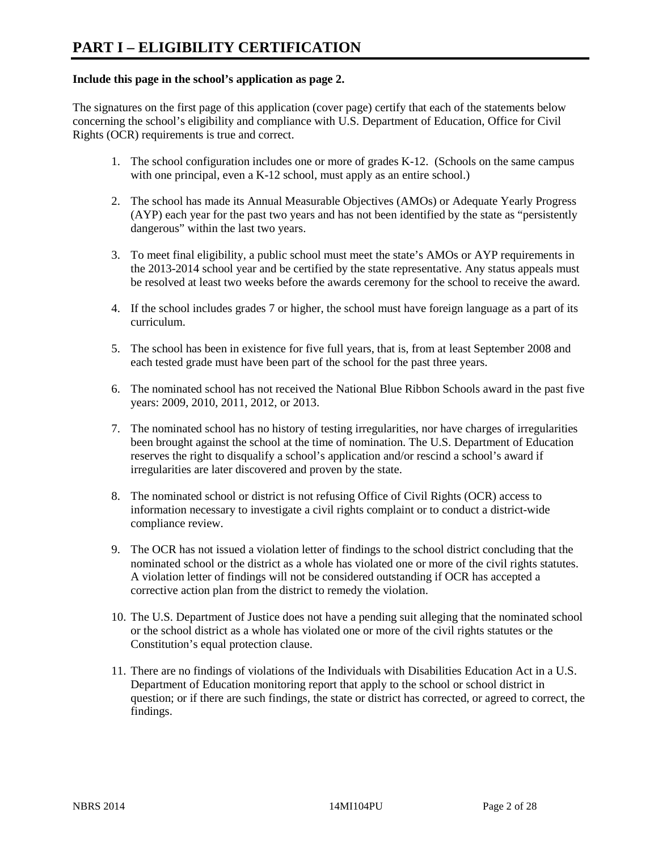### **Include this page in the school's application as page 2.**

The signatures on the first page of this application (cover page) certify that each of the statements below concerning the school's eligibility and compliance with U.S. Department of Education, Office for Civil Rights (OCR) requirements is true and correct.

- 1. The school configuration includes one or more of grades K-12. (Schools on the same campus with one principal, even a K-12 school, must apply as an entire school.)
- 2. The school has made its Annual Measurable Objectives (AMOs) or Adequate Yearly Progress (AYP) each year for the past two years and has not been identified by the state as "persistently dangerous" within the last two years.
- 3. To meet final eligibility, a public school must meet the state's AMOs or AYP requirements in the 2013-2014 school year and be certified by the state representative. Any status appeals must be resolved at least two weeks before the awards ceremony for the school to receive the award.
- 4. If the school includes grades 7 or higher, the school must have foreign language as a part of its curriculum.
- 5. The school has been in existence for five full years, that is, from at least September 2008 and each tested grade must have been part of the school for the past three years.
- 6. The nominated school has not received the National Blue Ribbon Schools award in the past five years: 2009, 2010, 2011, 2012, or 2013.
- 7. The nominated school has no history of testing irregularities, nor have charges of irregularities been brought against the school at the time of nomination. The U.S. Department of Education reserves the right to disqualify a school's application and/or rescind a school's award if irregularities are later discovered and proven by the state.
- 8. The nominated school or district is not refusing Office of Civil Rights (OCR) access to information necessary to investigate a civil rights complaint or to conduct a district-wide compliance review.
- 9. The OCR has not issued a violation letter of findings to the school district concluding that the nominated school or the district as a whole has violated one or more of the civil rights statutes. A violation letter of findings will not be considered outstanding if OCR has accepted a corrective action plan from the district to remedy the violation.
- 10. The U.S. Department of Justice does not have a pending suit alleging that the nominated school or the school district as a whole has violated one or more of the civil rights statutes or the Constitution's equal protection clause.
- 11. There are no findings of violations of the Individuals with Disabilities Education Act in a U.S. Department of Education monitoring report that apply to the school or school district in question; or if there are such findings, the state or district has corrected, or agreed to correct, the findings.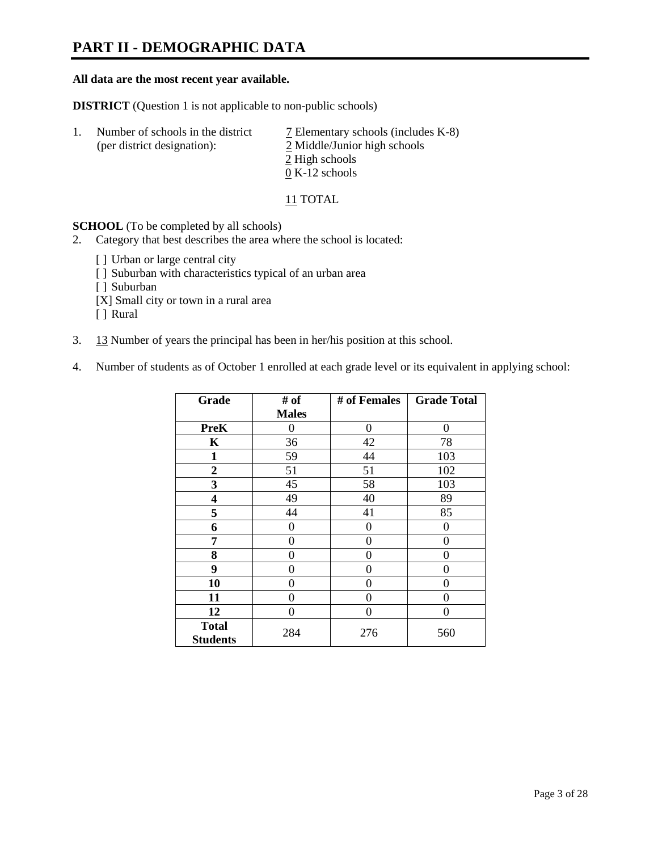# **PART II - DEMOGRAPHIC DATA**

#### **All data are the most recent year available.**

**DISTRICT** (Question 1 is not applicable to non-public schools)

| -1. | Number of schools in the district<br>(per district designation): | 7 Elementary schools (includes K-8)<br>2 Middle/Junior high schools |
|-----|------------------------------------------------------------------|---------------------------------------------------------------------|
|     |                                                                  | 2 High schools                                                      |
|     |                                                                  | $0 K-12$ schools                                                    |

11 TOTAL

**SCHOOL** (To be completed by all schools)

- 2. Category that best describes the area where the school is located:
	- [] Urban or large central city
	- [ ] Suburban with characteristics typical of an urban area
	- [ ] Suburban
	- [X] Small city or town in a rural area
	- [ ] Rural
- 3. 13 Number of years the principal has been in her/his position at this school.
- 4. Number of students as of October 1 enrolled at each grade level or its equivalent in applying school:

| Grade                           | # of         | # of Females | <b>Grade Total</b> |
|---------------------------------|--------------|--------------|--------------------|
|                                 | <b>Males</b> |              |                    |
| <b>PreK</b>                     | 0            | $\theta$     | $\Omega$           |
| K                               | 36           | 42           | 78                 |
| $\mathbf{1}$                    | 59           | 44           | 103                |
| $\boldsymbol{2}$                | 51           | 51           | 102                |
| 3                               | 45           | 58           | 103                |
| 4                               | 49           | 40           | 89                 |
| 5                               | 44           | 41           | 85                 |
| 6                               | 0            | 0            | $\theta$           |
| 7                               | 0            | 0            | 0                  |
| 8                               | 0            | 0            | 0                  |
| 9                               | 0            | $\theta$     | 0                  |
| 10                              | 0            | $\Omega$     | 0                  |
| 11                              | 0            | 0            | 0                  |
| 12                              | 0            | 0            | 0                  |
| <b>Total</b><br><b>Students</b> | 284          | 276          | 560                |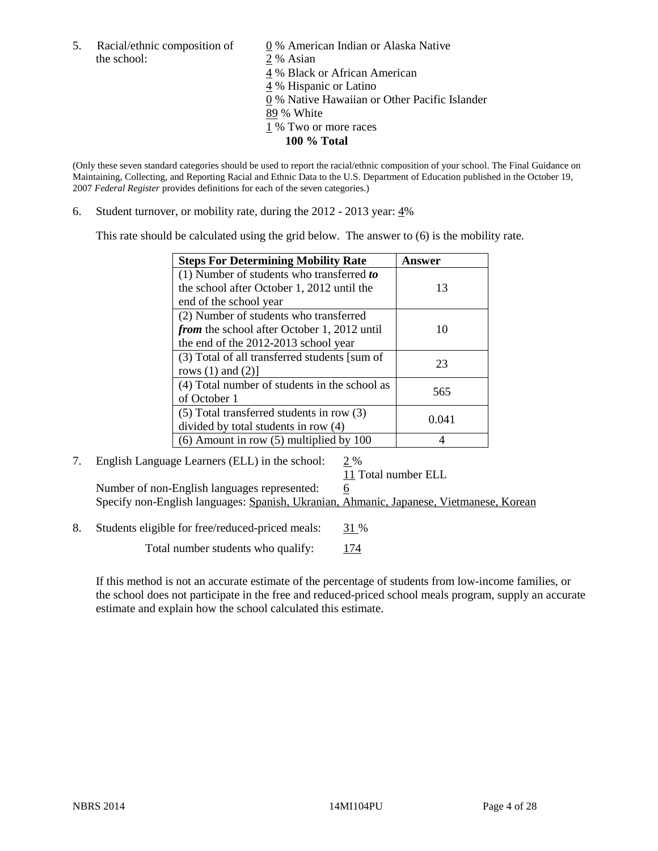5. Racial/ethnic composition of  $\qquad \qquad \underline{0}$  % American Indian or Alaska Native the school: 2 % Asian

 4 % Black or African American 4 % Hispanic or Latino 0 % Native Hawaiian or Other Pacific Islander 89 % White 1 % Two or more races **100 % Total** 

(Only these seven standard categories should be used to report the racial/ethnic composition of your school. The Final Guidance on Maintaining, Collecting, and Reporting Racial and Ethnic Data to the U.S. Department of Education published in the October 19, 2007 *Federal Register* provides definitions for each of the seven categories.)

6. Student turnover, or mobility rate, during the 2012 - 2013 year: 4%

This rate should be calculated using the grid below. The answer to (6) is the mobility rate.

| <b>Steps For Determining Mobility Rate</b>         | Answer |
|----------------------------------------------------|--------|
| (1) Number of students who transferred to          |        |
| the school after October 1, 2012 until the         | 13     |
| end of the school year                             |        |
| (2) Number of students who transferred             |        |
| <i>from</i> the school after October 1, 2012 until | 10     |
| the end of the 2012-2013 school year               |        |
| (3) Total of all transferred students [sum of      | 23     |
| rows $(1)$ and $(2)$ ]                             |        |
| (4) Total number of students in the school as      | 565    |
| of October 1                                       |        |
| $(5)$ Total transferred students in row $(3)$      |        |
| divided by total students in row (4)               | 0.041  |
| $(6)$ Amount in row $(5)$ multiplied by 100        |        |

### 7. English Language Learners (ELL) in the school: 2 %

11 Total number ELL

Number of non-English languages represented: 6 Specify non-English languages: Spanish, Ukranian, Ahmanic, Japanese, Vietmanese, Korean

8. Students eligible for free/reduced-priced meals: 31 %

Total number students who qualify: 174

If this method is not an accurate estimate of the percentage of students from low-income families, or the school does not participate in the free and reduced-priced school meals program, supply an accurate estimate and explain how the school calculated this estimate.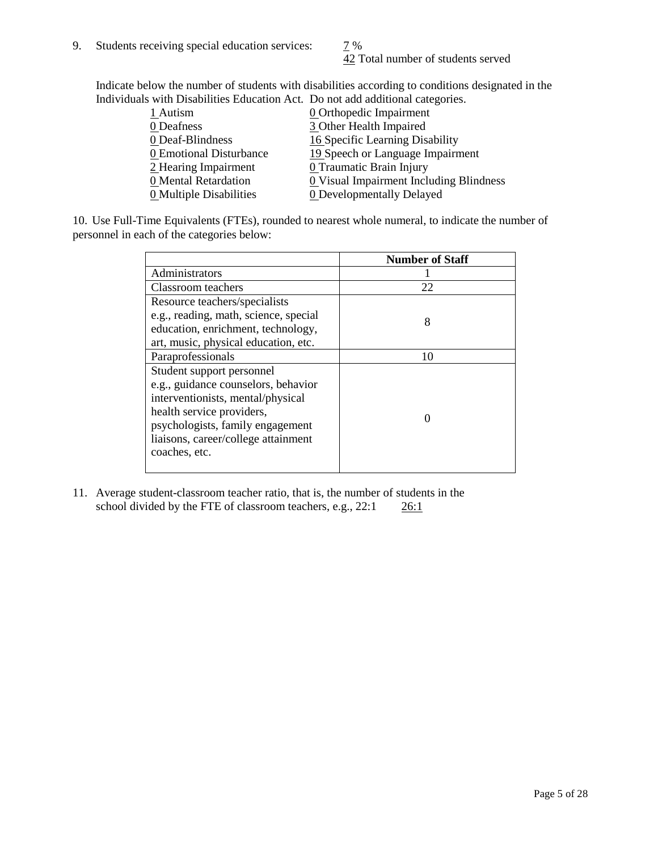42 Total number of students served

Indicate below the number of students with disabilities according to conditions designated in the Individuals with Disabilities Education Act. Do not add additional categories.

| <b>0</b> Orthopedic Impairment<br>1 Autism                      |
|-----------------------------------------------------------------|
|                                                                 |
| 3 Other Health Impaired<br>0 Deafness                           |
| 0 Deaf-Blindness<br>16 Specific Learning Disability             |
| 19 Speech or Language Impairment<br>0 Emotional Disturbance     |
| 2 Hearing Impairment<br>0 Traumatic Brain Injury                |
| 0 Visual Impairment Including Blindness<br>0 Mental Retardation |
| 0 Multiple Disabilities<br><b>0</b> Developmentally Delayed     |

10. Use Full-Time Equivalents (FTEs), rounded to nearest whole numeral, to indicate the number of personnel in each of the categories below:

|                                       | <b>Number of Staff</b> |
|---------------------------------------|------------------------|
| Administrators                        |                        |
| Classroom teachers                    | 22                     |
| Resource teachers/specialists         |                        |
| e.g., reading, math, science, special | 8                      |
| education, enrichment, technology,    |                        |
| art, music, physical education, etc.  |                        |
| Paraprofessionals                     | 10                     |
| Student support personnel             |                        |
| e.g., guidance counselors, behavior   |                        |
| interventionists, mental/physical     |                        |
| health service providers,             |                        |
| psychologists, family engagement      |                        |
| liaisons, career/college attainment   |                        |
| coaches, etc.                         |                        |
|                                       |                        |

11. Average student-classroom teacher ratio, that is, the number of students in the school divided by the FTE of classroom teachers, e.g.,  $22:1$   $26:1$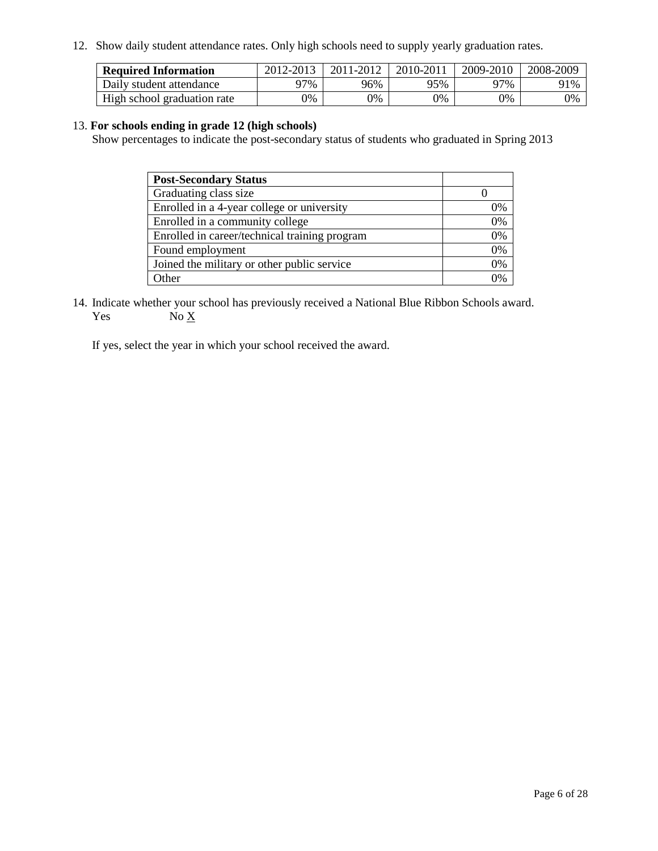12. Show daily student attendance rates. Only high schools need to supply yearly graduation rates.

| <b>Required Information</b> | 2012-2013 | 2011-2012 | 2010-2011 | 2009-2010 | 2008-2009 |
|-----------------------------|-----------|-----------|-----------|-----------|-----------|
| Daily student attendance    | ን7%       | 96%       | 95%       | 97%       | 91%       |
| High school graduation rate | 0%        | 0%        | 0%        | 0%        | 0%        |

### 13. **For schools ending in grade 12 (high schools)**

Show percentages to indicate the post-secondary status of students who graduated in Spring 2013

| <b>Post-Secondary Status</b>                  |    |
|-----------------------------------------------|----|
| Graduating class size                         |    |
| Enrolled in a 4-year college or university    | 0% |
| Enrolled in a community college               | 0% |
| Enrolled in career/technical training program | 0% |
| Found employment                              | 0% |
| Joined the military or other public service   | 0% |
| <b>Ther</b>                                   | 2% |

14. Indicate whether your school has previously received a National Blue Ribbon Schools award. Yes  $No \underline{X}$ 

If yes, select the year in which your school received the award.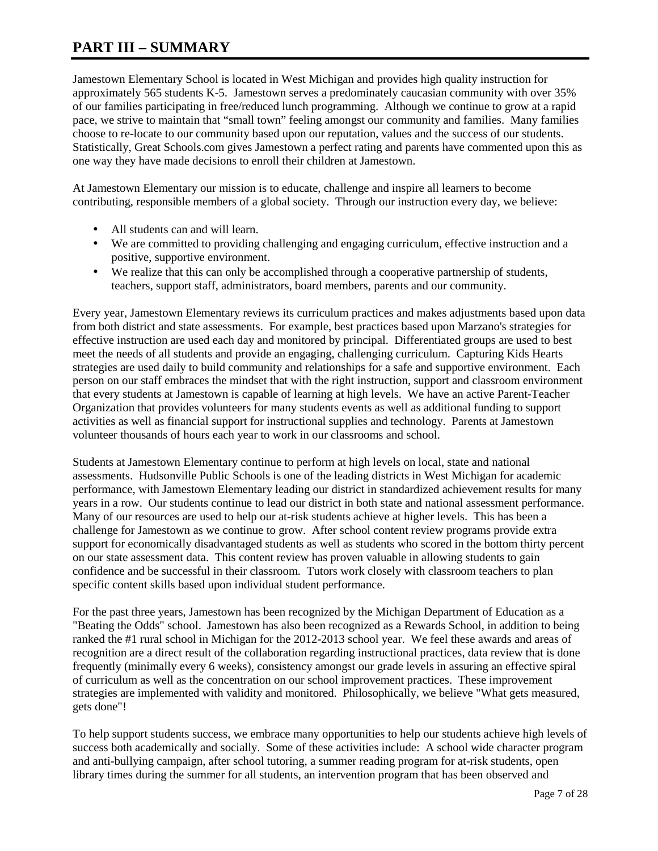# **PART III – SUMMARY**

Jamestown Elementary School is located in West Michigan and provides high quality instruction for approximately 565 students K-5. Jamestown serves a predominately caucasian community with over 35% of our families participating in free/reduced lunch programming. Although we continue to grow at a rapid pace, we strive to maintain that "small town" feeling amongst our community and families. Many families choose to re-locate to our community based upon our reputation, values and the success of our students. Statistically, Great Schools.com gives Jamestown a perfect rating and parents have commented upon this as one way they have made decisions to enroll their children at Jamestown.

At Jamestown Elementary our mission is to educate, challenge and inspire all learners to become contributing, responsible members of a global society. Through our instruction every day, we believe:

- All students can and will learn.
- We are committed to providing challenging and engaging curriculum, effective instruction and a positive, supportive environment.
- We realize that this can only be accomplished through a cooperative partnership of students, teachers, support staff, administrators, board members, parents and our community.

Every year, Jamestown Elementary reviews its curriculum practices and makes adjustments based upon data from both district and state assessments. For example, best practices based upon Marzano's strategies for effective instruction are used each day and monitored by principal. Differentiated groups are used to best meet the needs of all students and provide an engaging, challenging curriculum. Capturing Kids Hearts strategies are used daily to build community and relationships for a safe and supportive environment. Each person on our staff embraces the mindset that with the right instruction, support and classroom environment that every students at Jamestown is capable of learning at high levels. We have an active Parent-Teacher Organization that provides volunteers for many students events as well as additional funding to support activities as well as financial support for instructional supplies and technology. Parents at Jamestown volunteer thousands of hours each year to work in our classrooms and school.

Students at Jamestown Elementary continue to perform at high levels on local, state and national assessments. Hudsonville Public Schools is one of the leading districts in West Michigan for academic performance, with Jamestown Elementary leading our district in standardized achievement results for many years in a row. Our students continue to lead our district in both state and national assessment performance. Many of our resources are used to help our at-risk students achieve at higher levels. This has been a challenge for Jamestown as we continue to grow. After school content review programs provide extra support for economically disadvantaged students as well as students who scored in the bottom thirty percent on our state assessment data. This content review has proven valuable in allowing students to gain confidence and be successful in their classroom. Tutors work closely with classroom teachers to plan specific content skills based upon individual student performance.

For the past three years, Jamestown has been recognized by the Michigan Department of Education as a "Beating the Odds" school. Jamestown has also been recognized as a Rewards School, in addition to being ranked the #1 rural school in Michigan for the 2012-2013 school year. We feel these awards and areas of recognition are a direct result of the collaboration regarding instructional practices, data review that is done frequently (minimally every 6 weeks), consistency amongst our grade levels in assuring an effective spiral of curriculum as well as the concentration on our school improvement practices. These improvement strategies are implemented with validity and monitored. Philosophically, we believe "What gets measured, gets done"!

To help support students success, we embrace many opportunities to help our students achieve high levels of success both academically and socially. Some of these activities include: A school wide character program and anti-bullying campaign, after school tutoring, a summer reading program for at-risk students, open library times during the summer for all students, an intervention program that has been observed and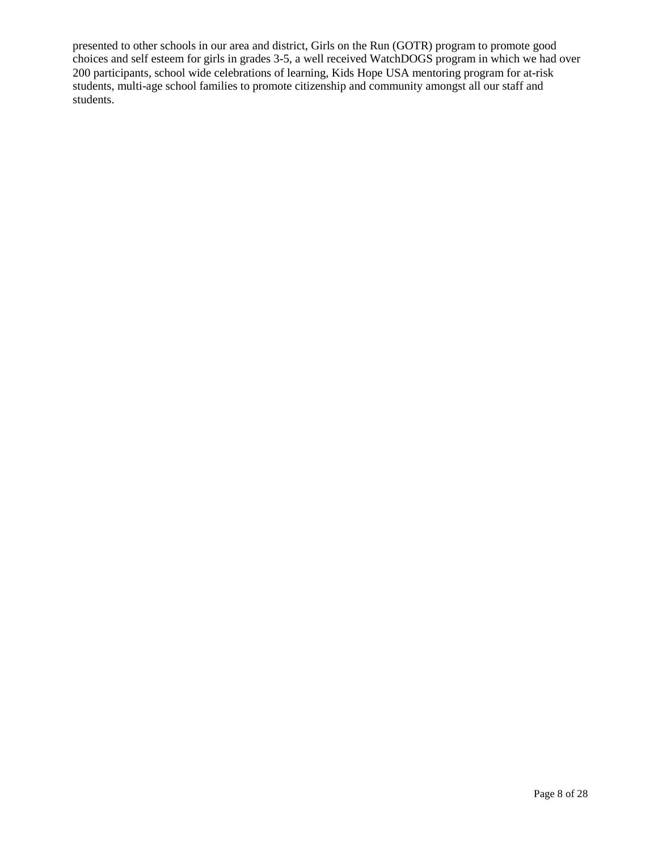presented to other schools in our area and district, Girls on the Run (GOTR) program to promote good choices and self esteem for girls in grades 3-5, a well received WatchDOGS program in which we had over 200 participants, school wide celebrations of learning, Kids Hope USA mentoring program for at-risk students, multi-age school families to promote citizenship and community amongst all our staff and students.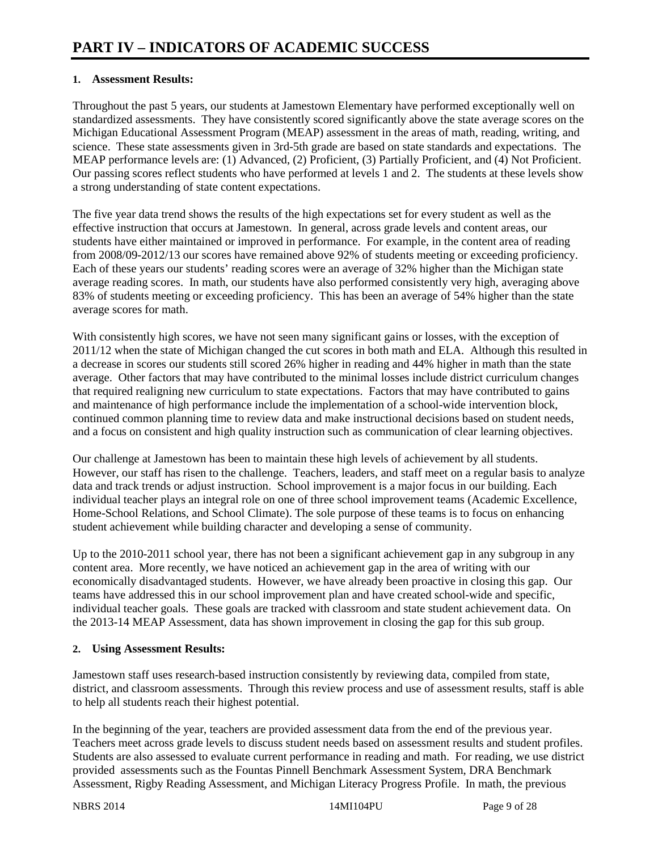### **1. Assessment Results:**

Throughout the past 5 years, our students at Jamestown Elementary have performed exceptionally well on standardized assessments. They have consistently scored significantly above the state average scores on the Michigan Educational Assessment Program (MEAP) assessment in the areas of math, reading, writing, and science. These state assessments given in 3rd-5th grade are based on state standards and expectations. The MEAP performance levels are: (1) Advanced, (2) Proficient, (3) Partially Proficient, and (4) Not Proficient. Our passing scores reflect students who have performed at levels 1 and 2. The students at these levels show a strong understanding of state content expectations.

The five year data trend shows the results of the high expectations set for every student as well as the effective instruction that occurs at Jamestown. In general, across grade levels and content areas, our students have either maintained or improved in performance. For example, in the content area of reading from 2008/09-2012/13 our scores have remained above 92% of students meeting or exceeding proficiency. Each of these years our students' reading scores were an average of 32% higher than the Michigan state average reading scores. In math, our students have also performed consistently very high, averaging above 83% of students meeting or exceeding proficiency. This has been an average of 54% higher than the state average scores for math.

With consistently high scores, we have not seen many significant gains or losses, with the exception of 2011/12 when the state of Michigan changed the cut scores in both math and ELA. Although this resulted in a decrease in scores our students still scored 26% higher in reading and 44% higher in math than the state average. Other factors that may have contributed to the minimal losses include district curriculum changes that required realigning new curriculum to state expectations. Factors that may have contributed to gains and maintenance of high performance include the implementation of a school-wide intervention block, continued common planning time to review data and make instructional decisions based on student needs, and a focus on consistent and high quality instruction such as communication of clear learning objectives.

Our challenge at Jamestown has been to maintain these high levels of achievement by all students. However, our staff has risen to the challenge. Teachers, leaders, and staff meet on a regular basis to analyze data and track trends or adjust instruction. School improvement is a major focus in our building. Each individual teacher plays an integral role on one of three school improvement teams (Academic Excellence, Home-School Relations, and School Climate). The sole purpose of these teams is to focus on enhancing student achievement while building character and developing a sense of community.

Up to the 2010-2011 school year, there has not been a significant achievement gap in any subgroup in any content area. More recently, we have noticed an achievement gap in the area of writing with our economically disadvantaged students. However, we have already been proactive in closing this gap. Our teams have addressed this in our school improvement plan and have created school-wide and specific, individual teacher goals. These goals are tracked with classroom and state student achievement data. On the 2013-14 MEAP Assessment, data has shown improvement in closing the gap for this sub group.

### **2. Using Assessment Results:**

Jamestown staff uses research-based instruction consistently by reviewing data, compiled from state, district, and classroom assessments. Through this review process and use of assessment results, staff is able to help all students reach their highest potential.

In the beginning of the year, teachers are provided assessment data from the end of the previous year. Teachers meet across grade levels to discuss student needs based on assessment results and student profiles. Students are also assessed to evaluate current performance in reading and math. For reading, we use district provided assessments such as the Fountas Pinnell Benchmark Assessment System, DRA Benchmark Assessment, Rigby Reading Assessment, and Michigan Literacy Progress Profile. In math, the previous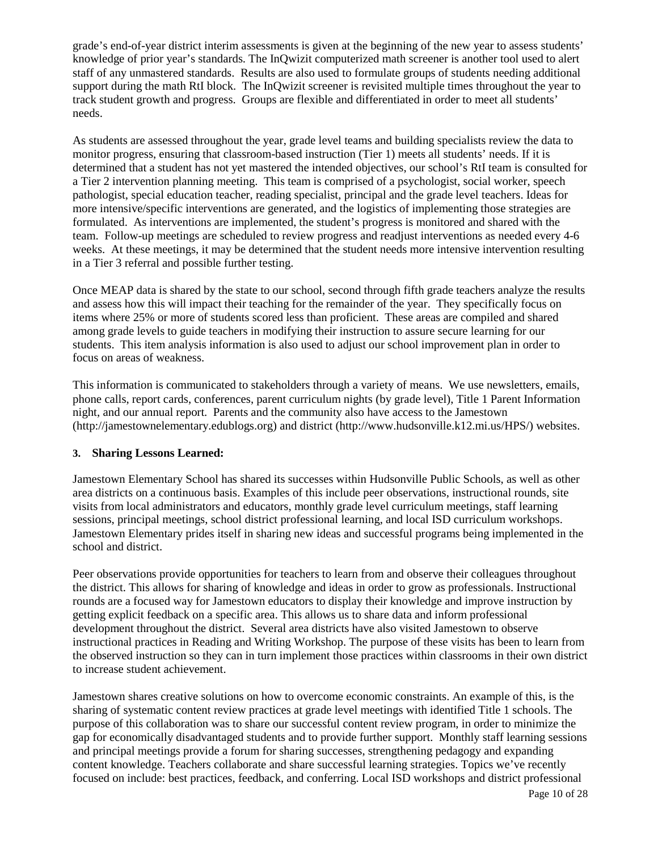grade's end-of-year district interim assessments is given at the beginning of the new year to assess students' knowledge of prior year's standards. The InQwizit computerized math screener is another tool used to alert staff of any unmastered standards. Results are also used to formulate groups of students needing additional support during the math RtI block. The InQwizit screener is revisited multiple times throughout the year to track student growth and progress. Groups are flexible and differentiated in order to meet all students' needs.

As students are assessed throughout the year, grade level teams and building specialists review the data to monitor progress, ensuring that classroom-based instruction (Tier 1) meets all students' needs. If it is determined that a student has not yet mastered the intended objectives, our school's RtI team is consulted for a Tier 2 intervention planning meeting. This team is comprised of a psychologist, social worker, speech pathologist, special education teacher, reading specialist, principal and the grade level teachers. Ideas for more intensive/specific interventions are generated, and the logistics of implementing those strategies are formulated. As interventions are implemented, the student's progress is monitored and shared with the team. Follow-up meetings are scheduled to review progress and readjust interventions as needed every 4-6 weeks. At these meetings, it may be determined that the student needs more intensive intervention resulting in a Tier 3 referral and possible further testing.

Once MEAP data is shared by the state to our school, second through fifth grade teachers analyze the results and assess how this will impact their teaching for the remainder of the year. They specifically focus on items where 25% or more of students scored less than proficient. These areas are compiled and shared among grade levels to guide teachers in modifying their instruction to assure secure learning for our students. This item analysis information is also used to adjust our school improvement plan in order to focus on areas of weakness.

This information is communicated to stakeholders through a variety of means. We use newsletters, emails, phone calls, report cards, conferences, parent curriculum nights (by grade level), Title 1 Parent Information night, and our annual report. Parents and the community also have access to the Jamestown (http://jamestownelementary.edublogs.org) and district (http://www.hudsonville.k12.mi.us/HPS/) websites.

### **3. Sharing Lessons Learned:**

Jamestown Elementary School has shared its successes within Hudsonville Public Schools, as well as other area districts on a continuous basis. Examples of this include peer observations, instructional rounds, site visits from local administrators and educators, monthly grade level curriculum meetings, staff learning sessions, principal meetings, school district professional learning, and local ISD curriculum workshops. Jamestown Elementary prides itself in sharing new ideas and successful programs being implemented in the school and district.

Peer observations provide opportunities for teachers to learn from and observe their colleagues throughout the district. This allows for sharing of knowledge and ideas in order to grow as professionals. Instructional rounds are a focused way for Jamestown educators to display their knowledge and improve instruction by getting explicit feedback on a specific area. This allows us to share data and inform professional development throughout the district. Several area districts have also visited Jamestown to observe instructional practices in Reading and Writing Workshop. The purpose of these visits has been to learn from the observed instruction so they can in turn implement those practices within classrooms in their own district to increase student achievement.

Jamestown shares creative solutions on how to overcome economic constraints. An example of this, is the sharing of systematic content review practices at grade level meetings with identified Title 1 schools. The purpose of this collaboration was to share our successful content review program, in order to minimize the gap for economically disadvantaged students and to provide further support. Monthly staff learning sessions and principal meetings provide a forum for sharing successes, strengthening pedagogy and expanding content knowledge. Teachers collaborate and share successful learning strategies. Topics we've recently focused on include: best practices, feedback, and conferring. Local ISD workshops and district professional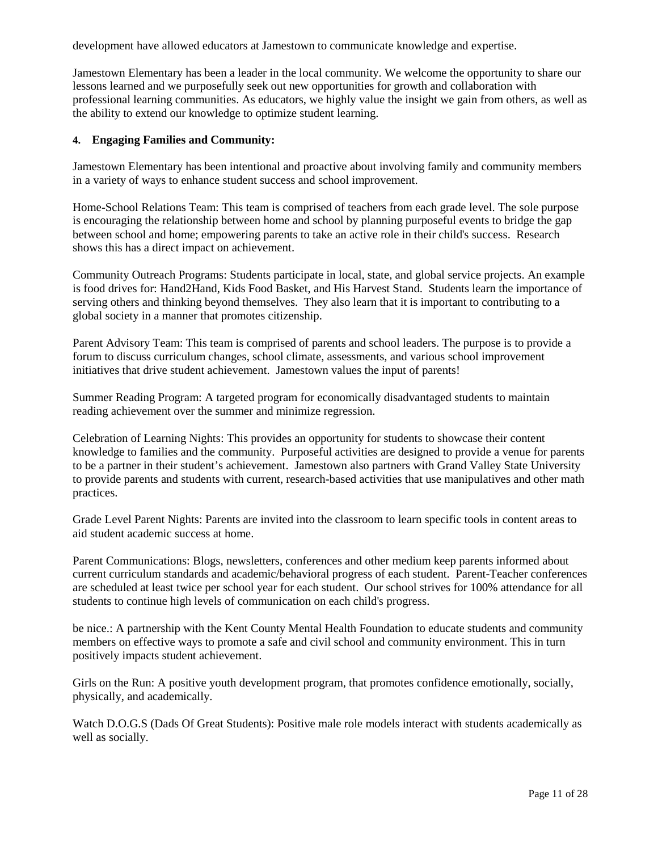development have allowed educators at Jamestown to communicate knowledge and expertise.

Jamestown Elementary has been a leader in the local community. We welcome the opportunity to share our lessons learned and we purposefully seek out new opportunities for growth and collaboration with professional learning communities. As educators, we highly value the insight we gain from others, as well as the ability to extend our knowledge to optimize student learning.

### **4. Engaging Families and Community:**

Jamestown Elementary has been intentional and proactive about involving family and community members in a variety of ways to enhance student success and school improvement.

Home-School Relations Team: This team is comprised of teachers from each grade level. The sole purpose is encouraging the relationship between home and school by planning purposeful events to bridge the gap between school and home; empowering parents to take an active role in their child's success. Research shows this has a direct impact on achievement.

Community Outreach Programs: Students participate in local, state, and global service projects. An example is food drives for: Hand2Hand, Kids Food Basket, and His Harvest Stand. Students learn the importance of serving others and thinking beyond themselves. They also learn that it is important to contributing to a global society in a manner that promotes citizenship.

Parent Advisory Team: This team is comprised of parents and school leaders. The purpose is to provide a forum to discuss curriculum changes, school climate, assessments, and various school improvement initiatives that drive student achievement. Jamestown values the input of parents!

Summer Reading Program: A targeted program for economically disadvantaged students to maintain reading achievement over the summer and minimize regression.

Celebration of Learning Nights: This provides an opportunity for students to showcase their content knowledge to families and the community. Purposeful activities are designed to provide a venue for parents to be a partner in their student's achievement. Jamestown also partners with Grand Valley State University to provide parents and students with current, research-based activities that use manipulatives and other math practices.

Grade Level Parent Nights: Parents are invited into the classroom to learn specific tools in content areas to aid student academic success at home.

Parent Communications: Blogs, newsletters, conferences and other medium keep parents informed about current curriculum standards and academic/behavioral progress of each student. Parent-Teacher conferences are scheduled at least twice per school year for each student. Our school strives for 100% attendance for all students to continue high levels of communication on each child's progress.

be nice.: A partnership with the Kent County Mental Health Foundation to educate students and community members on effective ways to promote a safe and civil school and community environment. This in turn positively impacts student achievement.

Girls on the Run: A positive youth development program, that promotes confidence emotionally, socially, physically, and academically.

Watch D.O.G.S (Dads Of Great Students): Positive male role models interact with students academically as well as socially.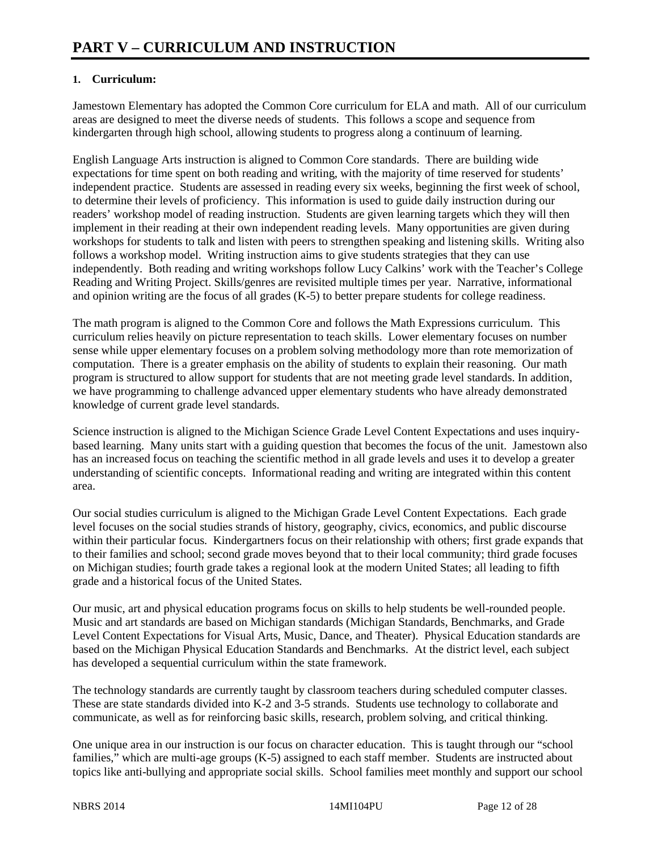# **1. Curriculum:**

Jamestown Elementary has adopted the Common Core curriculum for ELA and math. All of our curriculum areas are designed to meet the diverse needs of students. This follows a scope and sequence from kindergarten through high school, allowing students to progress along a continuum of learning.

English Language Arts instruction is aligned to Common Core standards. There are building wide expectations for time spent on both reading and writing, with the majority of time reserved for students' independent practice. Students are assessed in reading every six weeks, beginning the first week of school, to determine their levels of proficiency. This information is used to guide daily instruction during our readers' workshop model of reading instruction. Students are given learning targets which they will then implement in their reading at their own independent reading levels. Many opportunities are given during workshops for students to talk and listen with peers to strengthen speaking and listening skills. Writing also follows a workshop model. Writing instruction aims to give students strategies that they can use independently. Both reading and writing workshops follow Lucy Calkins' work with the Teacher's College Reading and Writing Project. Skills/genres are revisited multiple times per year. Narrative, informational and opinion writing are the focus of all grades (K-5) to better prepare students for college readiness.

The math program is aligned to the Common Core and follows the Math Expressions curriculum. This curriculum relies heavily on picture representation to teach skills. Lower elementary focuses on number sense while upper elementary focuses on a problem solving methodology more than rote memorization of computation. There is a greater emphasis on the ability of students to explain their reasoning. Our math program is structured to allow support for students that are not meeting grade level standards. In addition, we have programming to challenge advanced upper elementary students who have already demonstrated knowledge of current grade level standards.

Science instruction is aligned to the Michigan Science Grade Level Content Expectations and uses inquirybased learning. Many units start with a guiding question that becomes the focus of the unit. Jamestown also has an increased focus on teaching the scientific method in all grade levels and uses it to develop a greater understanding of scientific concepts. Informational reading and writing are integrated within this content area.

Our social studies curriculum is aligned to the Michigan Grade Level Content Expectations. Each grade level focuses on the social studies strands of history, geography, civics, economics, and public discourse within their particular focus. Kindergartners focus on their relationship with others; first grade expands that to their families and school; second grade moves beyond that to their local community; third grade focuses on Michigan studies; fourth grade takes a regional look at the modern United States; all leading to fifth grade and a historical focus of the United States.

Our music, art and physical education programs focus on skills to help students be well-rounded people. Music and art standards are based on Michigan standards (Michigan Standards, Benchmarks, and Grade Level Content Expectations for Visual Arts, Music, Dance, and Theater). Physical Education standards are based on the Michigan Physical Education Standards and Benchmarks. At the district level, each subject has developed a sequential curriculum within the state framework.

The technology standards are currently taught by classroom teachers during scheduled computer classes. These are state standards divided into K-2 and 3-5 strands. Students use technology to collaborate and communicate, as well as for reinforcing basic skills, research, problem solving, and critical thinking.

One unique area in our instruction is our focus on character education. This is taught through our "school families," which are multi-age groups (K-5) assigned to each staff member. Students are instructed about topics like anti-bullying and appropriate social skills. School families meet monthly and support our school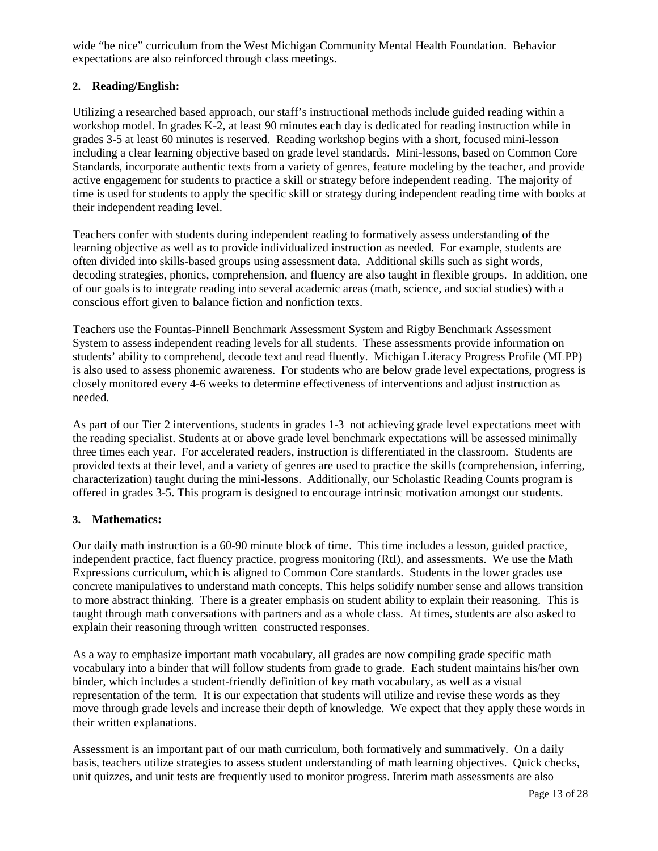wide "be nice" curriculum from the West Michigan Community Mental Health Foundation. Behavior expectations are also reinforced through class meetings.

### **2. Reading/English:**

Utilizing a researched based approach, our staff's instructional methods include guided reading within a workshop model. In grades K-2, at least 90 minutes each day is dedicated for reading instruction while in grades 3-5 at least 60 minutes is reserved. Reading workshop begins with a short, focused mini-lesson including a clear learning objective based on grade level standards. Mini-lessons, based on Common Core Standards, incorporate authentic texts from a variety of genres, feature modeling by the teacher, and provide active engagement for students to practice a skill or strategy before independent reading. The majority of time is used for students to apply the specific skill or strategy during independent reading time with books at their independent reading level.

Teachers confer with students during independent reading to formatively assess understanding of the learning objective as well as to provide individualized instruction as needed. For example, students are often divided into skills-based groups using assessment data. Additional skills such as sight words, decoding strategies, phonics, comprehension, and fluency are also taught in flexible groups. In addition, one of our goals is to integrate reading into several academic areas (math, science, and social studies) with a conscious effort given to balance fiction and nonfiction texts.

Teachers use the Fountas-Pinnell Benchmark Assessment System and Rigby Benchmark Assessment System to assess independent reading levels for all students. These assessments provide information on students' ability to comprehend, decode text and read fluently. Michigan Literacy Progress Profile (MLPP) is also used to assess phonemic awareness. For students who are below grade level expectations, progress is closely monitored every 4-6 weeks to determine effectiveness of interventions and adjust instruction as needed.

As part of our Tier 2 interventions, students in grades 1-3 not achieving grade level expectations meet with the reading specialist. Students at or above grade level benchmark expectations will be assessed minimally three times each year. For accelerated readers, instruction is differentiated in the classroom. Students are provided texts at their level, and a variety of genres are used to practice the skills (comprehension, inferring, characterization) taught during the mini-lessons. Additionally, our Scholastic Reading Counts program is offered in grades 3-5. This program is designed to encourage intrinsic motivation amongst our students.

### **3. Mathematics:**

Our daily math instruction is a 60-90 minute block of time. This time includes a lesson, guided practice, independent practice, fact fluency practice, progress monitoring (RtI), and assessments. We use the Math Expressions curriculum, which is aligned to Common Core standards. Students in the lower grades use concrete manipulatives to understand math concepts. This helps solidify number sense and allows transition to more abstract thinking. There is a greater emphasis on student ability to explain their reasoning. This is taught through math conversations with partners and as a whole class. At times, students are also asked to explain their reasoning through written constructed responses.

As a way to emphasize important math vocabulary, all grades are now compiling grade specific math vocabulary into a binder that will follow students from grade to grade. Each student maintains his/her own binder, which includes a student-friendly definition of key math vocabulary, as well as a visual representation of the term. It is our expectation that students will utilize and revise these words as they move through grade levels and increase their depth of knowledge. We expect that they apply these words in their written explanations.

Assessment is an important part of our math curriculum, both formatively and summatively. On a daily basis, teachers utilize strategies to assess student understanding of math learning objectives. Quick checks, unit quizzes, and unit tests are frequently used to monitor progress. Interim math assessments are also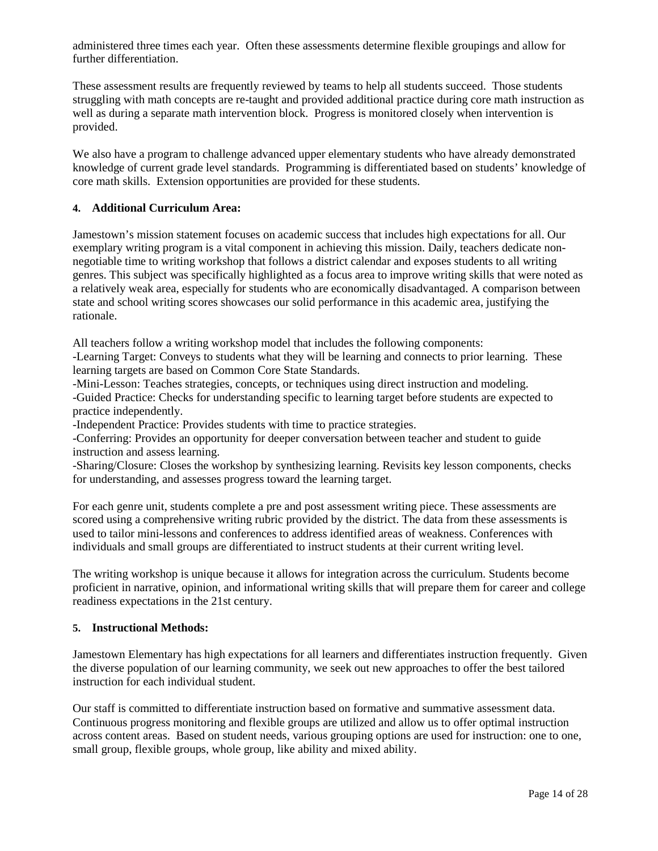administered three times each year. Often these assessments determine flexible groupings and allow for further differentiation.

These assessment results are frequently reviewed by teams to help all students succeed. Those students struggling with math concepts are re-taught and provided additional practice during core math instruction as well as during a separate math intervention block. Progress is monitored closely when intervention is provided.

We also have a program to challenge advanced upper elementary students who have already demonstrated knowledge of current grade level standards. Programming is differentiated based on students' knowledge of core math skills. Extension opportunities are provided for these students.

### **4. Additional Curriculum Area:**

Jamestown's mission statement focuses on academic success that includes high expectations for all. Our exemplary writing program is a vital component in achieving this mission. Daily, teachers dedicate nonnegotiable time to writing workshop that follows a district calendar and exposes students to all writing genres. This subject was specifically highlighted as a focus area to improve writing skills that were noted as a relatively weak area, especially for students who are economically disadvantaged. A comparison between state and school writing scores showcases our solid performance in this academic area, justifying the rationale.

All teachers follow a writing workshop model that includes the following components:

-Learning Target: Conveys to students what they will be learning and connects to prior learning. These learning targets are based on Common Core State Standards.

-Mini-Lesson: Teaches strategies, concepts, or techniques using direct instruction and modeling.

-Guided Practice: Checks for understanding specific to learning target before students are expected to practice independently.

-Independent Practice: Provides students with time to practice strategies.

-Conferring: Provides an opportunity for deeper conversation between teacher and student to guide instruction and assess learning.

-Sharing/Closure: Closes the workshop by synthesizing learning. Revisits key lesson components, checks for understanding, and assesses progress toward the learning target.

For each genre unit, students complete a pre and post assessment writing piece. These assessments are scored using a comprehensive writing rubric provided by the district. The data from these assessments is used to tailor mini-lessons and conferences to address identified areas of weakness. Conferences with individuals and small groups are differentiated to instruct students at their current writing level.

The writing workshop is unique because it allows for integration across the curriculum. Students become proficient in narrative, opinion, and informational writing skills that will prepare them for career and college readiness expectations in the 21st century.

#### **5. Instructional Methods:**

Jamestown Elementary has high expectations for all learners and differentiates instruction frequently. Given the diverse population of our learning community, we seek out new approaches to offer the best tailored instruction for each individual student.

Our staff is committed to differentiate instruction based on formative and summative assessment data. Continuous progress monitoring and flexible groups are utilized and allow us to offer optimal instruction across content areas. Based on student needs, various grouping options are used for instruction: one to one, small group, flexible groups, whole group, like ability and mixed ability.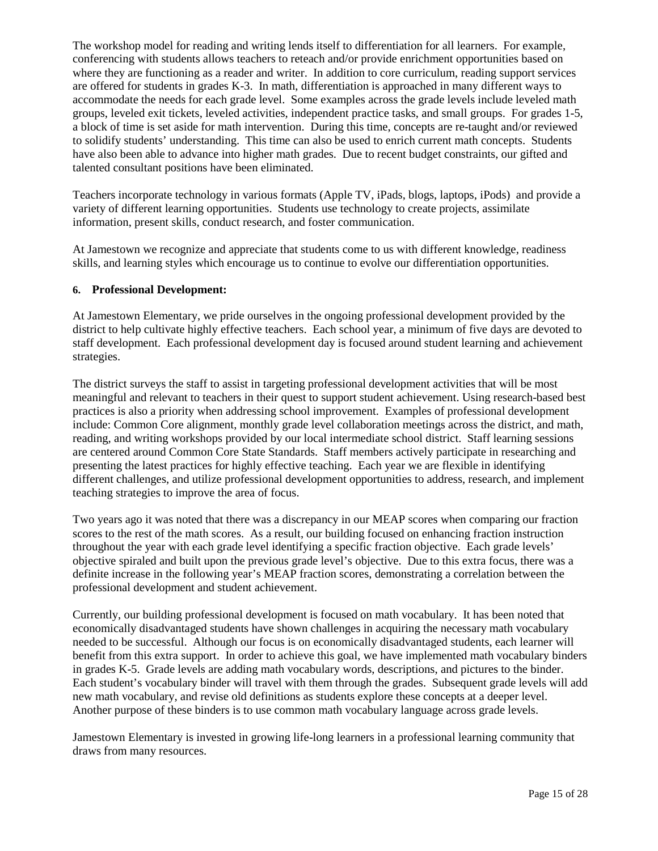The workshop model for reading and writing lends itself to differentiation for all learners. For example, conferencing with students allows teachers to reteach and/or provide enrichment opportunities based on where they are functioning as a reader and writer. In addition to core curriculum, reading support services are offered for students in grades K-3. In math, differentiation is approached in many different ways to accommodate the needs for each grade level. Some examples across the grade levels include leveled math groups, leveled exit tickets, leveled activities, independent practice tasks, and small groups. For grades 1-5, a block of time is set aside for math intervention. During this time, concepts are re-taught and/or reviewed to solidify students' understanding. This time can also be used to enrich current math concepts. Students have also been able to advance into higher math grades. Due to recent budget constraints, our gifted and talented consultant positions have been eliminated.

Teachers incorporate technology in various formats (Apple TV, iPads, blogs, laptops, iPods) and provide a variety of different learning opportunities. Students use technology to create projects, assimilate information, present skills, conduct research, and foster communication.

At Jamestown we recognize and appreciate that students come to us with different knowledge, readiness skills, and learning styles which encourage us to continue to evolve our differentiation opportunities.

### **6. Professional Development:**

At Jamestown Elementary, we pride ourselves in the ongoing professional development provided by the district to help cultivate highly effective teachers. Each school year, a minimum of five days are devoted to staff development. Each professional development day is focused around student learning and achievement strategies.

The district surveys the staff to assist in targeting professional development activities that will be most meaningful and relevant to teachers in their quest to support student achievement. Using research-based best practices is also a priority when addressing school improvement. Examples of professional development include: Common Core alignment, monthly grade level collaboration meetings across the district, and math, reading, and writing workshops provided by our local intermediate school district. Staff learning sessions are centered around Common Core State Standards. Staff members actively participate in researching and presenting the latest practices for highly effective teaching. Each year we are flexible in identifying different challenges, and utilize professional development opportunities to address, research, and implement teaching strategies to improve the area of focus.

Two years ago it was noted that there was a discrepancy in our MEAP scores when comparing our fraction scores to the rest of the math scores. As a result, our building focused on enhancing fraction instruction throughout the year with each grade level identifying a specific fraction objective. Each grade levels' objective spiraled and built upon the previous grade level's objective. Due to this extra focus, there was a definite increase in the following year's MEAP fraction scores, demonstrating a correlation between the professional development and student achievement.

Currently, our building professional development is focused on math vocabulary. It has been noted that economically disadvantaged students have shown challenges in acquiring the necessary math vocabulary needed to be successful. Although our focus is on economically disadvantaged students, each learner will benefit from this extra support. In order to achieve this goal, we have implemented math vocabulary binders in grades K-5. Grade levels are adding math vocabulary words, descriptions, and pictures to the binder. Each student's vocabulary binder will travel with them through the grades. Subsequent grade levels will add new math vocabulary, and revise old definitions as students explore these concepts at a deeper level. Another purpose of these binders is to use common math vocabulary language across grade levels.

Jamestown Elementary is invested in growing life-long learners in a professional learning community that draws from many resources.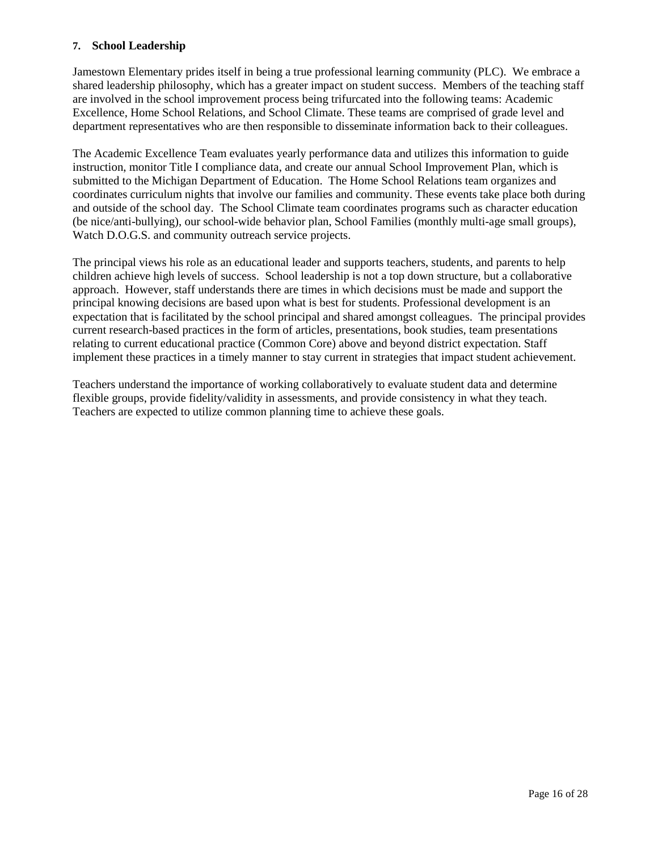### **7. School Leadership**

Jamestown Elementary prides itself in being a true professional learning community (PLC). We embrace a shared leadership philosophy, which has a greater impact on student success. Members of the teaching staff are involved in the school improvement process being trifurcated into the following teams: Academic Excellence, Home School Relations, and School Climate. These teams are comprised of grade level and department representatives who are then responsible to disseminate information back to their colleagues.

The Academic Excellence Team evaluates yearly performance data and utilizes this information to guide instruction, monitor Title I compliance data, and create our annual School Improvement Plan, which is submitted to the Michigan Department of Education. The Home School Relations team organizes and coordinates curriculum nights that involve our families and community. These events take place both during and outside of the school day. The School Climate team coordinates programs such as character education (be nice/anti-bullying), our school-wide behavior plan, School Families (monthly multi-age small groups), Watch D.O.G.S. and community outreach service projects.

The principal views his role as an educational leader and supports teachers, students, and parents to help children achieve high levels of success. School leadership is not a top down structure, but a collaborative approach. However, staff understands there are times in which decisions must be made and support the principal knowing decisions are based upon what is best for students. Professional development is an expectation that is facilitated by the school principal and shared amongst colleagues. The principal provides current research-based practices in the form of articles, presentations, book studies, team presentations relating to current educational practice (Common Core) above and beyond district expectation. Staff implement these practices in a timely manner to stay current in strategies that impact student achievement.

Teachers understand the importance of working collaboratively to evaluate student data and determine flexible groups, provide fidelity/validity in assessments, and provide consistency in what they teach. Teachers are expected to utilize common planning time to achieve these goals.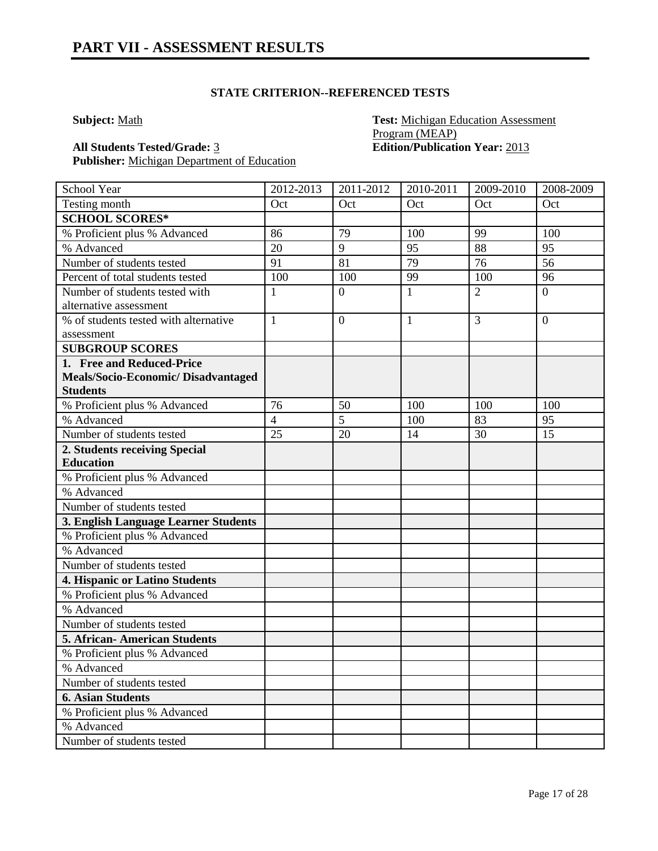## **STATE CRITERION--REFERENCED TESTS**

**Subject:** Math **Test:** Michigan Education Assessment Program (MEAP) **All Students Tested/Grade:** 3 **Edition/Publication Year:** 2013

| School Year                           | 2012-2013      | $\overline{2011}$ -2012 | 2010-2011    | 2009-2010      | 2008-2009      |
|---------------------------------------|----------------|-------------------------|--------------|----------------|----------------|
| Testing month                         | Oct            | Oct                     | Oct          | Oct            | Oct            |
| <b>SCHOOL SCORES*</b>                 |                |                         |              |                |                |
| % Proficient plus % Advanced          | 86             | 79                      | 100          | 99             | 100            |
| % Advanced                            | 20             | 9                       | 95           | 88             | 95             |
| Number of students tested             | 91             | 81                      | 79           | 76             | 56             |
| Percent of total students tested      | 100            | 100                     | 99           | 100            | 96             |
| Number of students tested with        | $\mathbf{1}$   | $\overline{0}$          | $\mathbf{1}$ | $\overline{2}$ | $\overline{0}$ |
| alternative assessment                |                |                         |              |                |                |
| % of students tested with alternative | $\mathbf{1}$   | $\mathbf{0}$            | 1            | 3              | $\overline{0}$ |
| assessment                            |                |                         |              |                |                |
| <b>SUBGROUP SCORES</b>                |                |                         |              |                |                |
| 1. Free and Reduced-Price             |                |                         |              |                |                |
| Meals/Socio-Economic/Disadvantaged    |                |                         |              |                |                |
| <b>Students</b>                       |                |                         |              |                |                |
| % Proficient plus % Advanced          | 76             | 50                      | 100          | 100            | 100            |
| % Advanced                            | $\overline{4}$ | $\overline{5}$          | 100          | 83             | 95             |
| Number of students tested             | 25             | 20                      | 14           | 30             | 15             |
| 2. Students receiving Special         |                |                         |              |                |                |
| <b>Education</b>                      |                |                         |              |                |                |
| % Proficient plus % Advanced          |                |                         |              |                |                |
| % Advanced                            |                |                         |              |                |                |
| Number of students tested             |                |                         |              |                |                |
| 3. English Language Learner Students  |                |                         |              |                |                |
| % Proficient plus % Advanced          |                |                         |              |                |                |
| % Advanced                            |                |                         |              |                |                |
| Number of students tested             |                |                         |              |                |                |
| 4. Hispanic or Latino Students        |                |                         |              |                |                |
| % Proficient plus % Advanced          |                |                         |              |                |                |
| % Advanced                            |                |                         |              |                |                |
| Number of students tested             |                |                         |              |                |                |
| <b>5. African-American Students</b>   |                |                         |              |                |                |
| % Proficient plus % Advanced          |                |                         |              |                |                |
| % Advanced                            |                |                         |              |                |                |
| Number of students tested             |                |                         |              |                |                |
| <b>6. Asian Students</b>              |                |                         |              |                |                |
| % Proficient plus % Advanced          |                |                         |              |                |                |
| % Advanced                            |                |                         |              |                |                |
| Number of students tested             |                |                         |              |                |                |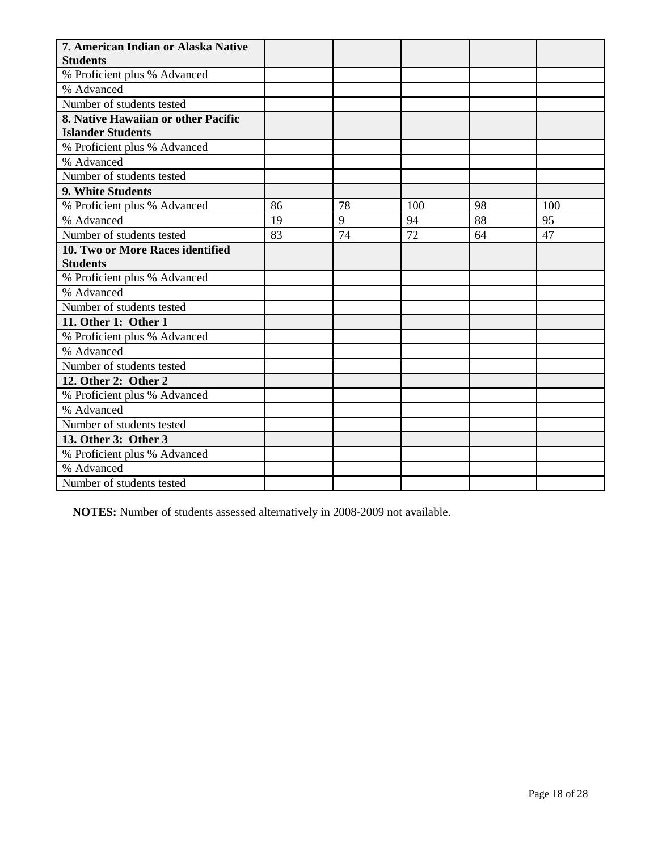| 7. American Indian or Alaska Native        |    |    |     |    |     |
|--------------------------------------------|----|----|-----|----|-----|
| <b>Students</b>                            |    |    |     |    |     |
| % Proficient plus % Advanced<br>% Advanced |    |    |     |    |     |
| Number of students tested                  |    |    |     |    |     |
| 8. Native Hawaiian or other Pacific        |    |    |     |    |     |
| <b>Islander Students</b>                   |    |    |     |    |     |
| % Proficient plus % Advanced               |    |    |     |    |     |
| % Advanced                                 |    |    |     |    |     |
| Number of students tested                  |    |    |     |    |     |
| 9. White Students                          |    |    |     |    |     |
| % Proficient plus % Advanced               | 86 | 78 | 100 | 98 | 100 |
| % Advanced                                 | 19 | 9  | 94  | 88 | 95  |
| Number of students tested                  | 83 | 74 | 72  | 64 | 47  |
| 10. Two or More Races identified           |    |    |     |    |     |
| <b>Students</b>                            |    |    |     |    |     |
| % Proficient plus % Advanced               |    |    |     |    |     |
| % Advanced                                 |    |    |     |    |     |
| Number of students tested                  |    |    |     |    |     |
| 11. Other 1: Other 1                       |    |    |     |    |     |
| % Proficient plus % Advanced               |    |    |     |    |     |
| % Advanced                                 |    |    |     |    |     |
| Number of students tested                  |    |    |     |    |     |
| 12. Other 2: Other 2                       |    |    |     |    |     |
| % Proficient plus % Advanced               |    |    |     |    |     |
| % Advanced                                 |    |    |     |    |     |
| Number of students tested                  |    |    |     |    |     |
| 13. Other 3: Other 3                       |    |    |     |    |     |
| % Proficient plus % Advanced               |    |    |     |    |     |
| % Advanced                                 |    |    |     |    |     |
| Number of students tested                  |    |    |     |    |     |

**NOTES:** Number of students assessed alternatively in 2008-2009 not available.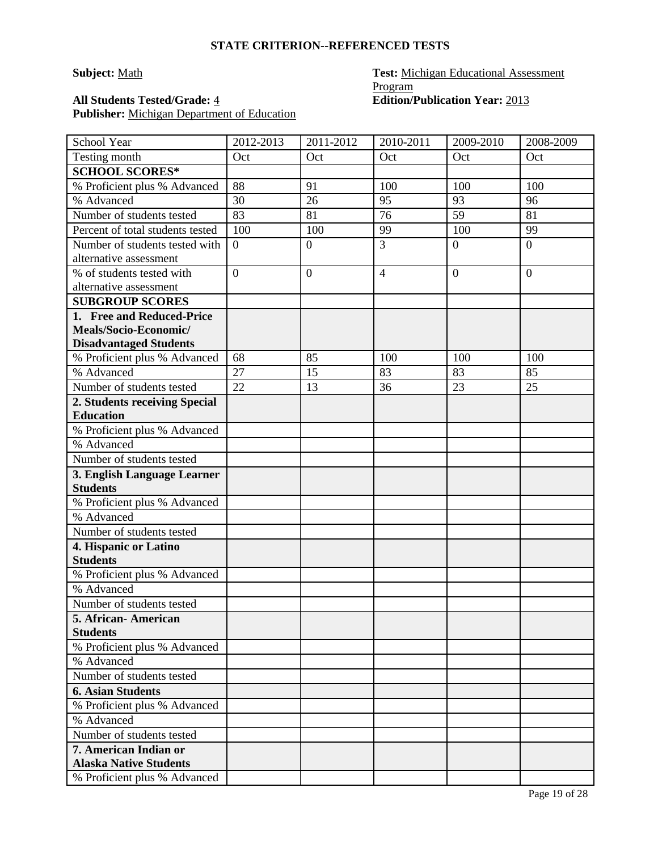#### **STATE CRITERION--REFERENCED TESTS**

# **Subject:** Math **Test:** Michigan Educational Assessment Program All Students Tested/Grade: <u>4</u> **Edition**/Publication Year: 2013

| School Year                      | 2012-2013      | 2011-2012        | 2010-2011      | 2009-2010      | 2008-2009        |
|----------------------------------|----------------|------------------|----------------|----------------|------------------|
| Testing month                    | Oct            | Oct              | Oct            | Oct            | Oct              |
| <b>SCHOOL SCORES*</b>            |                |                  |                |                |                  |
| % Proficient plus % Advanced     | 88             | 91               | 100            | 100            | 100              |
| % Advanced                       | 30             | 26               | 95             | 93             | 96               |
| Number of students tested        | 83             | 81               | 76             | 59             | 81               |
| Percent of total students tested | 100            | 100              | 99             | 100            | 99               |
| Number of students tested with   | $\overline{0}$ | $\boldsymbol{0}$ | 3              | $\overline{0}$ | $\boldsymbol{0}$ |
| alternative assessment           |                |                  |                |                |                  |
| % of students tested with        | $\overline{0}$ | $\overline{0}$   | $\overline{4}$ | $\overline{0}$ | $\overline{0}$   |
| alternative assessment           |                |                  |                |                |                  |
| <b>SUBGROUP SCORES</b>           |                |                  |                |                |                  |
| 1. Free and Reduced-Price        |                |                  |                |                |                  |
| Meals/Socio-Economic/            |                |                  |                |                |                  |
| <b>Disadvantaged Students</b>    |                |                  |                |                |                  |
| % Proficient plus % Advanced     | 68             | 85               | 100            | 100            | 100              |
| % Advanced                       | 27             | 15               | 83             | 83             | 85               |
| Number of students tested        | 22             | 13               | 36             | 23             | 25               |
| 2. Students receiving Special    |                |                  |                |                |                  |
| <b>Education</b>                 |                |                  |                |                |                  |
| % Proficient plus % Advanced     |                |                  |                |                |                  |
| % Advanced                       |                |                  |                |                |                  |
| Number of students tested        |                |                  |                |                |                  |
| 3. English Language Learner      |                |                  |                |                |                  |
| <b>Students</b>                  |                |                  |                |                |                  |
| % Proficient plus % Advanced     |                |                  |                |                |                  |
| % Advanced                       |                |                  |                |                |                  |
| Number of students tested        |                |                  |                |                |                  |
| 4. Hispanic or Latino            |                |                  |                |                |                  |
| <b>Students</b>                  |                |                  |                |                |                  |
| % Proficient plus % Advanced     |                |                  |                |                |                  |
| % Advanced                       |                |                  |                |                |                  |
| Number of students tested        |                |                  |                |                |                  |
| 5. African-American              |                |                  |                |                |                  |
| <b>Students</b>                  |                |                  |                |                |                  |
| % Proficient plus % Advanced     |                |                  |                |                |                  |
| % Advanced                       |                |                  |                |                |                  |
| Number of students tested        |                |                  |                |                |                  |
| <b>6. Asian Students</b>         |                |                  |                |                |                  |
| % Proficient plus % Advanced     |                |                  |                |                |                  |
| % Advanced                       |                |                  |                |                |                  |
| Number of students tested        |                |                  |                |                |                  |
| 7. American Indian or            |                |                  |                |                |                  |
| <b>Alaska Native Students</b>    |                |                  |                |                |                  |
| % Proficient plus % Advanced     |                |                  |                |                |                  |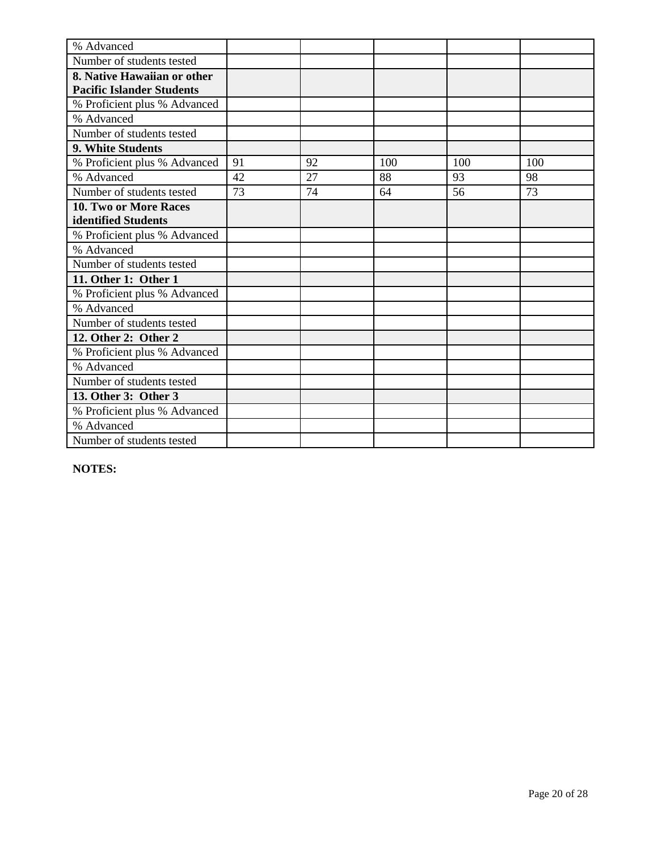| % Advanced                       |    |    |     |     |     |
|----------------------------------|----|----|-----|-----|-----|
| Number of students tested        |    |    |     |     |     |
| 8. Native Hawaiian or other      |    |    |     |     |     |
| <b>Pacific Islander Students</b> |    |    |     |     |     |
| % Proficient plus % Advanced     |    |    |     |     |     |
| % Advanced                       |    |    |     |     |     |
| Number of students tested        |    |    |     |     |     |
| 9. White Students                |    |    |     |     |     |
| % Proficient plus % Advanced     | 91 | 92 | 100 | 100 | 100 |
| % Advanced                       | 42 | 27 | 88  | 93  | 98  |
| Number of students tested        | 73 | 74 | 64  | 56  | 73  |
| <b>10. Two or More Races</b>     |    |    |     |     |     |
| identified Students              |    |    |     |     |     |
| % Proficient plus % Advanced     |    |    |     |     |     |
| % Advanced                       |    |    |     |     |     |
| Number of students tested        |    |    |     |     |     |
| 11. Other 1: Other 1             |    |    |     |     |     |
| % Proficient plus % Advanced     |    |    |     |     |     |
| % Advanced                       |    |    |     |     |     |
| Number of students tested        |    |    |     |     |     |
| 12. Other 2: Other 2             |    |    |     |     |     |
| % Proficient plus % Advanced     |    |    |     |     |     |
| % Advanced                       |    |    |     |     |     |
| Number of students tested        |    |    |     |     |     |
| 13. Other 3: Other 3             |    |    |     |     |     |
| % Proficient plus % Advanced     |    |    |     |     |     |
| % Advanced                       |    |    |     |     |     |
| Number of students tested        |    |    |     |     |     |

**NOTES:**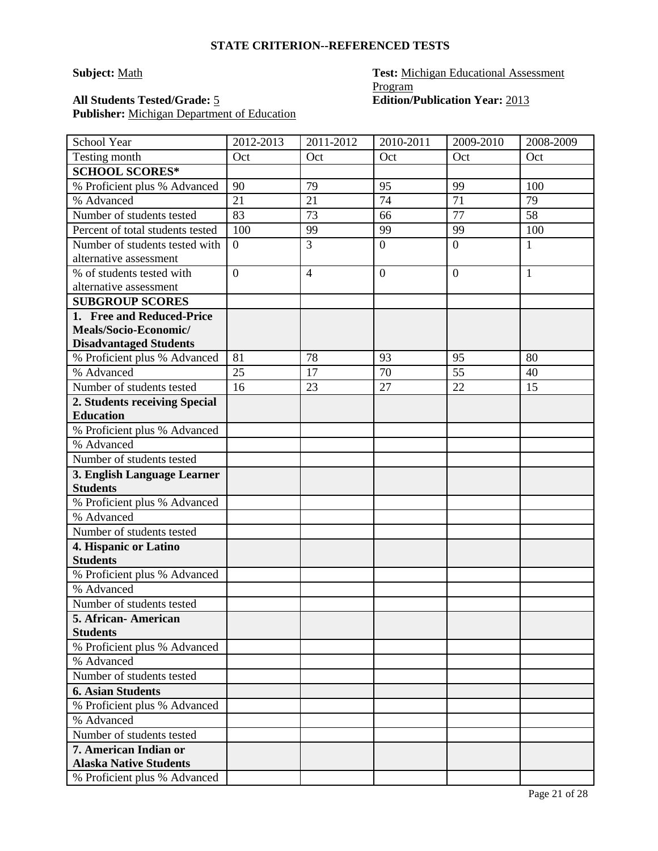#### **STATE CRITERION--REFERENCED TESTS**

# **Subject:** Math **Test:** Michigan Educational Assessment Program All Students Tested/Grade: 5 **Edition**/Publication Year: 2013

| School Year                      | 2012-2013      | 2011-2012      | 2010-2011    | 2009-2010      | 2008-2009    |
|----------------------------------|----------------|----------------|--------------|----------------|--------------|
| Testing month                    | Oct            | Oct            | Oct          | Oct            | Oct          |
| <b>SCHOOL SCORES*</b>            |                |                |              |                |              |
| % Proficient plus % Advanced     | 90             | 79             | 95           | 99             | 100          |
| % Advanced                       | 21             | 21             | 74           | 71             | 79           |
| Number of students tested        | 83             | 73             | 66           | 77             | 58           |
| Percent of total students tested | 100            | 99             | 99           | 99             | 100          |
| Number of students tested with   | $\overline{0}$ | $\overline{3}$ | $\mathbf{0}$ | $\overline{0}$ | $\mathbf{1}$ |
| alternative assessment           |                |                |              |                |              |
| % of students tested with        | $\overline{0}$ | $\overline{4}$ | $\mathbf{0}$ | $\overline{0}$ | 1            |
| alternative assessment           |                |                |              |                |              |
| <b>SUBGROUP SCORES</b>           |                |                |              |                |              |
| 1. Free and Reduced-Price        |                |                |              |                |              |
| Meals/Socio-Economic/            |                |                |              |                |              |
| <b>Disadvantaged Students</b>    |                |                |              |                |              |
| % Proficient plus % Advanced     | 81             | 78             | 93           | 95             | 80           |
| % Advanced                       | 25             | 17             | 70           | 55             | 40           |
| Number of students tested        | 16             | 23             | 27           | 22             | 15           |
| 2. Students receiving Special    |                |                |              |                |              |
| <b>Education</b>                 |                |                |              |                |              |
| % Proficient plus % Advanced     |                |                |              |                |              |
| % Advanced                       |                |                |              |                |              |
| Number of students tested        |                |                |              |                |              |
| 3. English Language Learner      |                |                |              |                |              |
| <b>Students</b>                  |                |                |              |                |              |
| % Proficient plus % Advanced     |                |                |              |                |              |
| % Advanced                       |                |                |              |                |              |
| Number of students tested        |                |                |              |                |              |
| 4. Hispanic or Latino            |                |                |              |                |              |
| <b>Students</b>                  |                |                |              |                |              |
| % Proficient plus % Advanced     |                |                |              |                |              |
| % Advanced                       |                |                |              |                |              |
| Number of students tested        |                |                |              |                |              |
| 5. African- American             |                |                |              |                |              |
| <b>Students</b>                  |                |                |              |                |              |
| % Proficient plus % Advanced     |                |                |              |                |              |
| % Advanced                       |                |                |              |                |              |
| Number of students tested        |                |                |              |                |              |
| <b>6. Asian Students</b>         |                |                |              |                |              |
| % Proficient plus % Advanced     |                |                |              |                |              |
| % Advanced                       |                |                |              |                |              |
| Number of students tested        |                |                |              |                |              |
| 7. American Indian or            |                |                |              |                |              |
| <b>Alaska Native Students</b>    |                |                |              |                |              |
| % Proficient plus % Advanced     |                |                |              |                |              |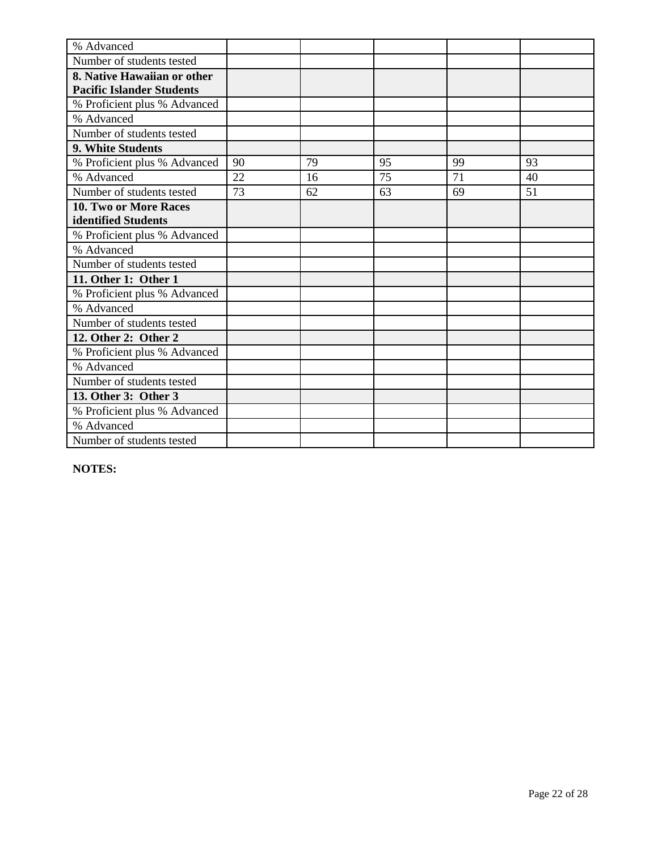| % Advanced                       |    |    |    |    |    |
|----------------------------------|----|----|----|----|----|
| Number of students tested        |    |    |    |    |    |
| 8. Native Hawaiian or other      |    |    |    |    |    |
| <b>Pacific Islander Students</b> |    |    |    |    |    |
| % Proficient plus % Advanced     |    |    |    |    |    |
| % Advanced                       |    |    |    |    |    |
| Number of students tested        |    |    |    |    |    |
| 9. White Students                |    |    |    |    |    |
| % Proficient plus % Advanced     | 90 | 79 | 95 | 99 | 93 |
| % Advanced                       | 22 | 16 | 75 | 71 | 40 |
| Number of students tested        | 73 | 62 | 63 | 69 | 51 |
| <b>10. Two or More Races</b>     |    |    |    |    |    |
| identified Students              |    |    |    |    |    |
| % Proficient plus % Advanced     |    |    |    |    |    |
| % Advanced                       |    |    |    |    |    |
| Number of students tested        |    |    |    |    |    |
| 11. Other 1: Other 1             |    |    |    |    |    |
| % Proficient plus % Advanced     |    |    |    |    |    |
| % Advanced                       |    |    |    |    |    |
| Number of students tested        |    |    |    |    |    |
| 12. Other 2: Other 2             |    |    |    |    |    |
| % Proficient plus % Advanced     |    |    |    |    |    |
| % Advanced                       |    |    |    |    |    |
| Number of students tested        |    |    |    |    |    |
| 13. Other 3: Other 3             |    |    |    |    |    |
| % Proficient plus % Advanced     |    |    |    |    |    |
| % Advanced                       |    |    |    |    |    |
| Number of students tested        |    |    |    |    |    |

**NOTES:**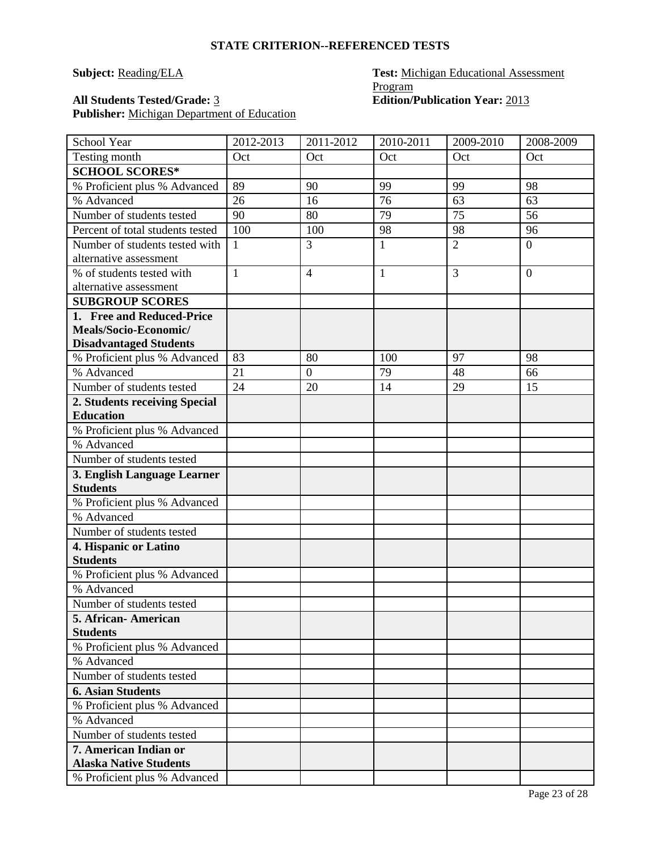# **Subject: Reading/ELA Test: Michigan Educational Assessment** Program All Students Tested/Grade: 3 **Edition**/Publication Year: 2013

| School Year                      | 2012-2013    | 2011-2012        | 2010-2011    | 2009-2010      | 2008-2009        |
|----------------------------------|--------------|------------------|--------------|----------------|------------------|
| Testing month                    | Oct          | Oct              | Oct          | Oct            | Oct              |
| <b>SCHOOL SCORES*</b>            |              |                  |              |                |                  |
| % Proficient plus % Advanced     | 89           | 90               | 99           | 99             | 98               |
| % Advanced                       | 26           | 16               | 76           | 63             | 63               |
| Number of students tested        | 90           | 80               | 79           | 75             | 56               |
| Percent of total students tested | 100          | 100              | 98           | 98             | 96               |
| Number of students tested with   | $\mathbf{1}$ | 3                | $\mathbf{1}$ | $\overline{2}$ | $\overline{0}$   |
| alternative assessment           |              |                  |              |                |                  |
| % of students tested with        | $\mathbf{1}$ | $\overline{4}$   | $\mathbf{1}$ | 3              | $\boldsymbol{0}$ |
| alternative assessment           |              |                  |              |                |                  |
| <b>SUBGROUP SCORES</b>           |              |                  |              |                |                  |
| 1. Free and Reduced-Price        |              |                  |              |                |                  |
| Meals/Socio-Economic/            |              |                  |              |                |                  |
| <b>Disadvantaged Students</b>    |              |                  |              |                |                  |
| % Proficient plus % Advanced     | 83           | 80               | 100          | 97             | 98               |
| % Advanced                       | 21           | $\boldsymbol{0}$ | 79           | 48             | 66               |
| Number of students tested        | 24           | 20               | 14           | 29             | 15               |
| 2. Students receiving Special    |              |                  |              |                |                  |
| <b>Education</b>                 |              |                  |              |                |                  |
| % Proficient plus % Advanced     |              |                  |              |                |                  |
| % Advanced                       |              |                  |              |                |                  |
| Number of students tested        |              |                  |              |                |                  |
| 3. English Language Learner      |              |                  |              |                |                  |
| <b>Students</b>                  |              |                  |              |                |                  |
| % Proficient plus % Advanced     |              |                  |              |                |                  |
| % Advanced                       |              |                  |              |                |                  |
| Number of students tested        |              |                  |              |                |                  |
| 4. Hispanic or Latino            |              |                  |              |                |                  |
| <b>Students</b>                  |              |                  |              |                |                  |
| % Proficient plus % Advanced     |              |                  |              |                |                  |
| % Advanced                       |              |                  |              |                |                  |
| Number of students tested        |              |                  |              |                |                  |
| 5. African-American              |              |                  |              |                |                  |
| <b>Students</b>                  |              |                  |              |                |                  |
| % Proficient plus % Advanced     |              |                  |              |                |                  |
| % Advanced                       |              |                  |              |                |                  |
| Number of students tested        |              |                  |              |                |                  |
| <b>6. Asian Students</b>         |              |                  |              |                |                  |
| % Proficient plus % Advanced     |              |                  |              |                |                  |
| % Advanced                       |              |                  |              |                |                  |
| Number of students tested        |              |                  |              |                |                  |
| <b>7. American Indian or</b>     |              |                  |              |                |                  |
| <b>Alaska Native Students</b>    |              |                  |              |                |                  |
| % Proficient plus % Advanced     |              |                  |              |                |                  |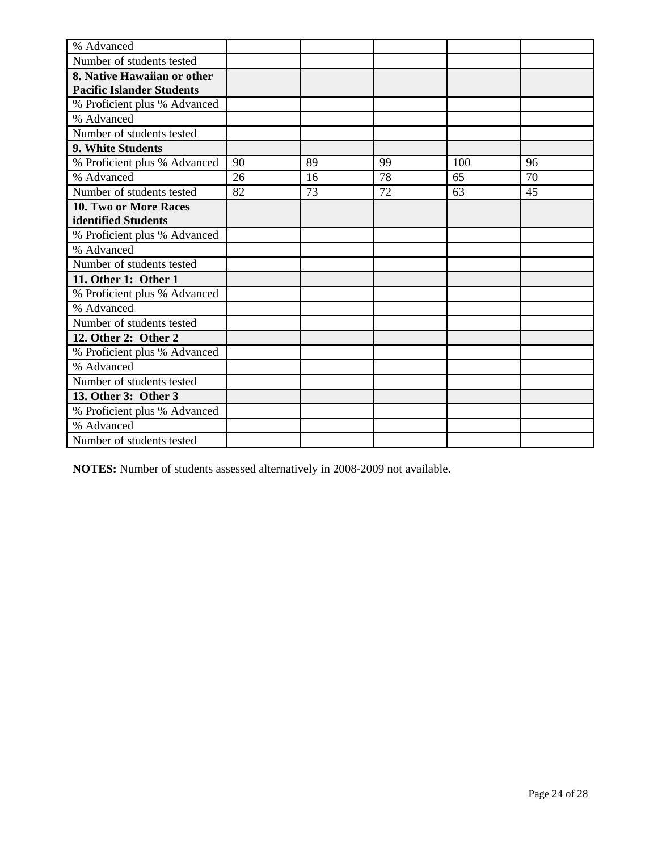| % Advanced                       |    |    |    |     |    |
|----------------------------------|----|----|----|-----|----|
| Number of students tested        |    |    |    |     |    |
| 8. Native Hawaiian or other      |    |    |    |     |    |
| <b>Pacific Islander Students</b> |    |    |    |     |    |
| % Proficient plus % Advanced     |    |    |    |     |    |
| % Advanced                       |    |    |    |     |    |
| Number of students tested        |    |    |    |     |    |
| 9. White Students                |    |    |    |     |    |
| % Proficient plus % Advanced     | 90 | 89 | 99 | 100 | 96 |
| % Advanced                       | 26 | 16 | 78 | 65  | 70 |
| Number of students tested        | 82 | 73 | 72 | 63  | 45 |
| 10. Two or More Races            |    |    |    |     |    |
| identified Students              |    |    |    |     |    |
| % Proficient plus % Advanced     |    |    |    |     |    |
| % Advanced                       |    |    |    |     |    |
| Number of students tested        |    |    |    |     |    |
| 11. Other 1: Other 1             |    |    |    |     |    |
| % Proficient plus % Advanced     |    |    |    |     |    |
| % Advanced                       |    |    |    |     |    |
| Number of students tested        |    |    |    |     |    |
| 12. Other 2: Other 2             |    |    |    |     |    |
| % Proficient plus % Advanced     |    |    |    |     |    |
| % Advanced                       |    |    |    |     |    |
| Number of students tested        |    |    |    |     |    |
| 13. Other 3: Other 3             |    |    |    |     |    |
| % Proficient plus % Advanced     |    |    |    |     |    |
| % Advanced                       |    |    |    |     |    |
| Number of students tested        |    |    |    |     |    |

**NOTES:** Number of students assessed alternatively in 2008-2009 not available.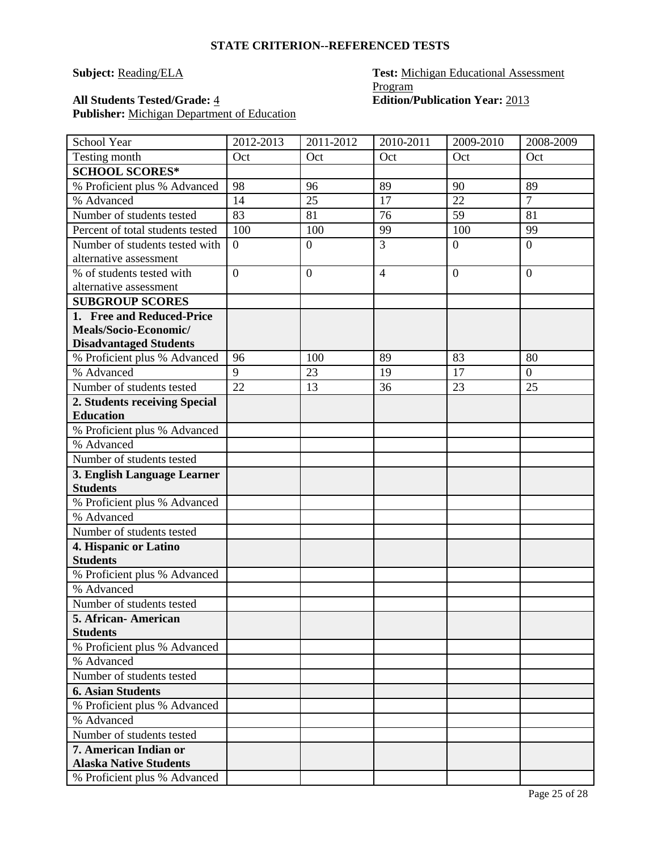# **Subject: Reading/ELA Test: Michigan Educational Assessment** Program All Students Tested/Grade: <u>4</u> **Edition**/Publication Year: 2013

| School Year                      | 2012-2013      | 2011-2012        | 2010-2011      | 2009-2010      | 2008-2009      |
|----------------------------------|----------------|------------------|----------------|----------------|----------------|
| Testing month                    | Oct            | Oct              | Oct            | Oct            | Oct            |
| <b>SCHOOL SCORES*</b>            |                |                  |                |                |                |
| % Proficient plus % Advanced     | 98             | 96               | 89             | 90             | 89             |
| % Advanced                       | 14             | 25               | 17             | 22             | $\overline{7}$ |
| Number of students tested        | 83             | 81               | 76             | 59             | 81             |
| Percent of total students tested | 100            | 100              | 99             | 100            | 99             |
| Number of students tested with   | $\overline{0}$ | $\overline{0}$   | $\overline{3}$ | $\overline{0}$ | $\overline{0}$ |
| alternative assessment           |                |                  |                |                |                |
| % of students tested with        | $\overline{0}$ | $\boldsymbol{0}$ | $\overline{4}$ | $\overline{0}$ | $\overline{0}$ |
| alternative assessment           |                |                  |                |                |                |
| <b>SUBGROUP SCORES</b>           |                |                  |                |                |                |
| 1. Free and Reduced-Price        |                |                  |                |                |                |
| Meals/Socio-Economic/            |                |                  |                |                |                |
| <b>Disadvantaged Students</b>    |                |                  |                |                |                |
| % Proficient plus % Advanced     | 96             | 100              | 89             | 83             | 80             |
| % Advanced                       | 9              | 23               | 19             | 17             | $\overline{0}$ |
| Number of students tested        | 22             | 13               | 36             | 23             | 25             |
| 2. Students receiving Special    |                |                  |                |                |                |
| <b>Education</b>                 |                |                  |                |                |                |
| % Proficient plus % Advanced     |                |                  |                |                |                |
| % Advanced                       |                |                  |                |                |                |
| Number of students tested        |                |                  |                |                |                |
| 3. English Language Learner      |                |                  |                |                |                |
| <b>Students</b>                  |                |                  |                |                |                |
| % Proficient plus % Advanced     |                |                  |                |                |                |
| % Advanced                       |                |                  |                |                |                |
| Number of students tested        |                |                  |                |                |                |
| 4. Hispanic or Latino            |                |                  |                |                |                |
| <b>Students</b>                  |                |                  |                |                |                |
| % Proficient plus % Advanced     |                |                  |                |                |                |
| % Advanced                       |                |                  |                |                |                |
| Number of students tested        |                |                  |                |                |                |
| 5. African-American              |                |                  |                |                |                |
| <b>Students</b>                  |                |                  |                |                |                |
| % Proficient plus % Advanced     |                |                  |                |                |                |
| % Advanced                       |                |                  |                |                |                |
| Number of students tested        |                |                  |                |                |                |
| <b>6. Asian Students</b>         |                |                  |                |                |                |
| % Proficient plus % Advanced     |                |                  |                |                |                |
| % Advanced                       |                |                  |                |                |                |
| Number of students tested        |                |                  |                |                |                |
| 7. American Indian or            |                |                  |                |                |                |
| <b>Alaska Native Students</b>    |                |                  |                |                |                |
| % Proficient plus % Advanced     |                |                  |                |                |                |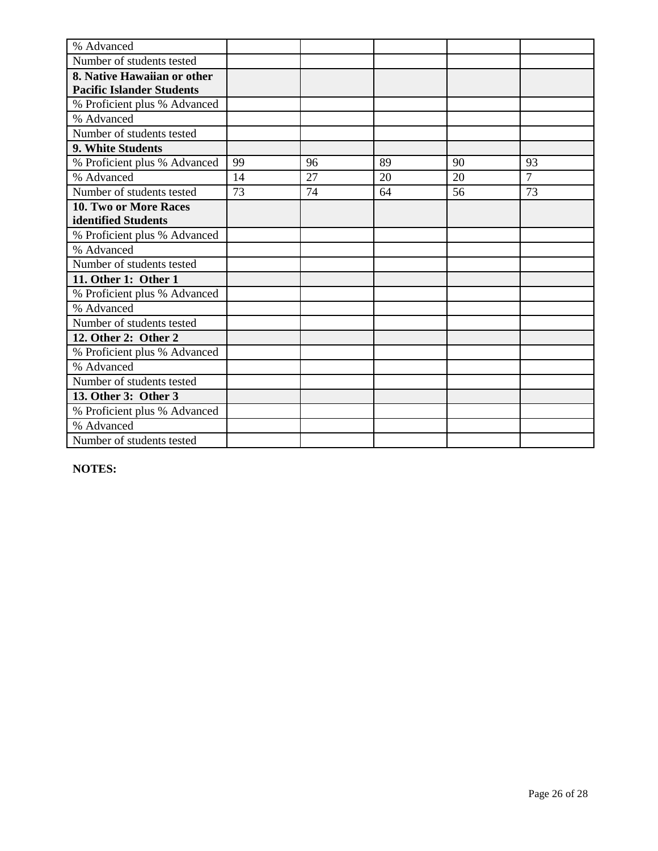| % Advanced                       |    |    |    |    |                |
|----------------------------------|----|----|----|----|----------------|
| Number of students tested        |    |    |    |    |                |
| 8. Native Hawaiian or other      |    |    |    |    |                |
| <b>Pacific Islander Students</b> |    |    |    |    |                |
| % Proficient plus % Advanced     |    |    |    |    |                |
| % Advanced                       |    |    |    |    |                |
| Number of students tested        |    |    |    |    |                |
| <b>9. White Students</b>         |    |    |    |    |                |
| % Proficient plus % Advanced     | 99 | 96 | 89 | 90 | 93             |
| % Advanced                       | 14 | 27 | 20 | 20 | $\overline{7}$ |
| Number of students tested        | 73 | 74 | 64 | 56 | 73             |
| 10. Two or More Races            |    |    |    |    |                |
| identified Students              |    |    |    |    |                |
| % Proficient plus % Advanced     |    |    |    |    |                |
| % Advanced                       |    |    |    |    |                |
| Number of students tested        |    |    |    |    |                |
| 11. Other 1: Other 1             |    |    |    |    |                |
| % Proficient plus % Advanced     |    |    |    |    |                |
| % Advanced                       |    |    |    |    |                |
| Number of students tested        |    |    |    |    |                |
| 12. Other 2: Other 2             |    |    |    |    |                |
| % Proficient plus % Advanced     |    |    |    |    |                |
| % Advanced                       |    |    |    |    |                |
| Number of students tested        |    |    |    |    |                |
| 13. Other 3: Other 3             |    |    |    |    |                |
| % Proficient plus % Advanced     |    |    |    |    |                |
| % Advanced                       |    |    |    |    |                |
| Number of students tested        |    |    |    |    |                |

**NOTES:**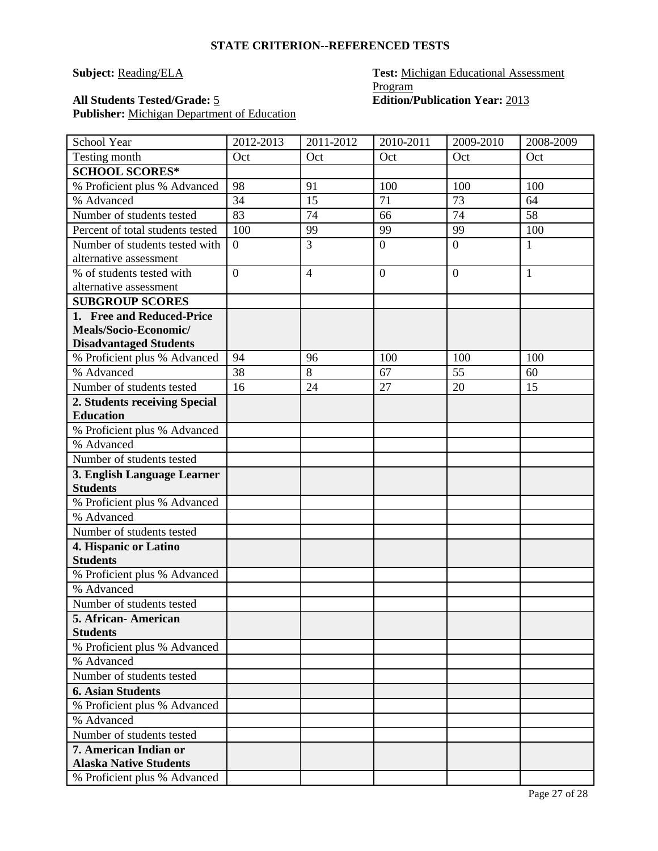# **Subject: Reading/ELA Test: Michigan Educational Assessment** Program All Students Tested/Grade: 5 **Edition**/Publication Year: 2013

| School Year                                    | 2012-2013      | 2011-2012      | 2010-2011      | 2009-2010      | 2008-2009    |
|------------------------------------------------|----------------|----------------|----------------|----------------|--------------|
| Testing month                                  | Oct            | Oct            | Oct            | Oct            | Oct          |
| <b>SCHOOL SCORES*</b>                          |                |                |                |                |              |
| % Proficient plus % Advanced                   | 98             | 91             | 100            | 100            | 100          |
| % Advanced                                     | 34             | 15             | 71             | 73             | 64           |
| Number of students tested                      | 83             | 74             | 66             | 74             | 58           |
| Percent of total students tested               | 100            | 99             | 99             | 99             | 100          |
| Number of students tested with                 | $\theta$       | 3              | $\mathbf{0}$   | $\overline{0}$ | $\mathbf{1}$ |
| alternative assessment                         |                |                |                |                |              |
| % of students tested with                      | $\overline{0}$ | $\overline{4}$ | $\overline{0}$ | $\overline{0}$ | $\mathbf{1}$ |
| alternative assessment                         |                |                |                |                |              |
| <b>SUBGROUP SCORES</b>                         |                |                |                |                |              |
| 1. Free and Reduced-Price                      |                |                |                |                |              |
| Meals/Socio-Economic/                          |                |                |                |                |              |
| <b>Disadvantaged Students</b>                  |                |                |                |                |              |
| % Proficient plus % Advanced                   | 94             | 96             | 100            | 100            | 100          |
| % Advanced                                     | 38             | 8              | 67             | 55             | 60           |
| Number of students tested                      | 16             | 24             | 27             | 20             | 15           |
| 2. Students receiving Special                  |                |                |                |                |              |
| <b>Education</b>                               |                |                |                |                |              |
| % Proficient plus % Advanced                   |                |                |                |                |              |
| % Advanced                                     |                |                |                |                |              |
| Number of students tested                      |                |                |                |                |              |
| 3. English Language Learner<br><b>Students</b> |                |                |                |                |              |
| % Proficient plus % Advanced                   |                |                |                |                |              |
| % Advanced                                     |                |                |                |                |              |
| Number of students tested                      |                |                |                |                |              |
| 4. Hispanic or Latino                          |                |                |                |                |              |
| <b>Students</b>                                |                |                |                |                |              |
| % Proficient plus % Advanced                   |                |                |                |                |              |
| % Advanced                                     |                |                |                |                |              |
| Number of students tested                      |                |                |                |                |              |
| 5. African- American                           |                |                |                |                |              |
| <b>Students</b>                                |                |                |                |                |              |
| % Proficient plus % Advanced                   |                |                |                |                |              |
| % Advanced                                     |                |                |                |                |              |
| Number of students tested                      |                |                |                |                |              |
| <b>6. Asian Students</b>                       |                |                |                |                |              |
| % Proficient plus % Advanced                   |                |                |                |                |              |
| % Advanced                                     |                |                |                |                |              |
| Number of students tested                      |                |                |                |                |              |
| 7. American Indian or                          |                |                |                |                |              |
| <b>Alaska Native Students</b>                  |                |                |                |                |              |
| % Proficient plus % Advanced                   |                |                |                |                |              |